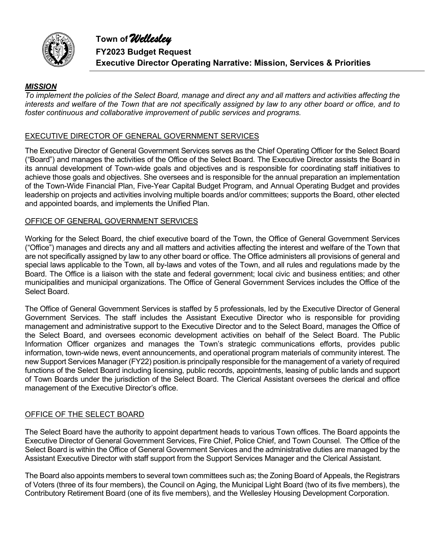



**FY2023 Budget Request Executive Director Operating Narrative: Mission, Services & Priorities**

#### *MISSION*

*To implement the policies of the Select Board, manage and direct any and all matters and activities affecting the interests and welfare of the Town that are not specifically assigned by law to any other board or office, and to foster continuous and collaborative improvement of public services and programs.* 

#### EXECUTIVE DIRECTOR OF GENERAL GOVERNMENT SERVICES

The Executive Director of General Government Services serves as the Chief Operating Officer for the Select Board ("Board") and manages the activities of the Office of the Select Board. The Executive Director assists the Board in its annual development of Town-wide goals and objectives and is responsible for coordinating staff initiatives to achieve those goals and objectives. She oversees and is responsible for the annual preparation an implementation of the Town-Wide Financial Plan, Five-Year Capital Budget Program, and Annual Operating Budget and provides leadership on projects and activities involving multiple boards and/or committees; supports the Board, other elected and appointed boards, and implements the Unified Plan.

#### OFFICE OF GENERAL GOVERNMENT SERVICES

Working for the Select Board, the chief executive board of the Town, the Office of General Government Services ("Office") manages and directs any and all matters and activities affecting the interest and welfare of the Town that are not specifically assigned by law to any other board or office. The Office administers all provisions of general and special laws applicable to the Town, all by-laws and votes of the Town, and all rules and regulations made by the Board. The Office is a liaison with the state and federal government; local civic and business entities; and other municipalities and municipal organizations. The Office of General Government Services includes the Office of the Select Board.

The Office of General Government Services is staffed by 5 professionals, led by the Executive Director of General Government Services. The staff includes the Assistant Executive Director who is responsible for providing management and administrative support to the Executive Director and to the Select Board, manages the Office of the Select Board, and oversees economic development activities on behalf of the Select Board. The Public Information Officer organizes and manages the Town's strategic communications efforts, provides public information, town-wide news, event announcements, and operational program materials of community interest. The new Support Services Manager (FY22) position.is principally responsible for the management of a variety of required functions of the Select Board including licensing, public records, appointments, leasing of public lands and support of Town Boards under the jurisdiction of the Select Board. The Clerical Assistant oversees the clerical and office management of the Executive Director's office.

#### OFFICE OF THE SELECT BOARD

The Select Board have the authority to appoint department heads to various Town offices. The Board appoints the Executive Director of General Government Services, Fire Chief, Police Chief, and Town Counsel. The Office of the Select Board is within the Office of General Government Services and the administrative duties are managed by the Assistant Executive Director with staff support from the Support Services Manager and the Clerical Assistant.

The Board also appoints members to several town committees such as; the Zoning Board of Appeals, the Registrars of Voters (three of its four members), the Council on Aging, the Municipal Light Board (two of its five members), the Contributory Retirement Board (one of its five members), and the Wellesley Housing Development Corporation.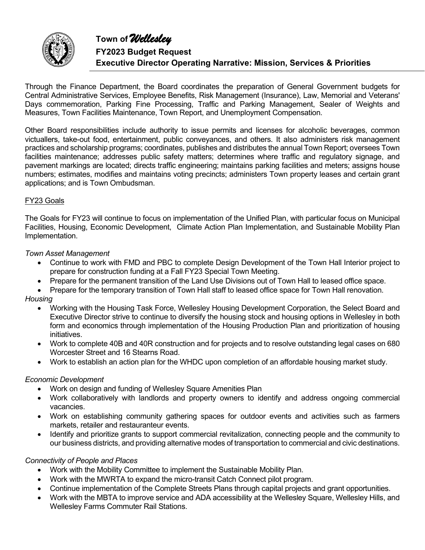

Through the Finance Department, the Board coordinates the preparation of General Government budgets for Central Administrative Services, Employee Benefits, Risk Management (Insurance), Law, Memorial and Veterans' Days commemoration, Parking Fine Processing, Traffic and Parking Management, Sealer of Weights and Measures, Town Facilities Maintenance, Town Report, and Unemployment Compensation.

Other Board responsibilities include authority to issue permits and licenses for alcoholic beverages, common victuallers, take-out food, entertainment, public conveyances, and others. It also administers risk management practices and scholarship programs; coordinates, publishes and distributes the annual Town Report; oversees Town facilities maintenance; addresses public safety matters; determines where traffic and regulatory signage, and pavement markings are located; directs traffic engineering; maintains parking facilities and meters; assigns house numbers; estimates, modifies and maintains voting precincts; administers Town property leases and certain grant applications; and is Town Ombudsman.

## FY23 Goals

The Goals for FY23 will continue to focus on implementation of the Unified Plan, with particular focus on Municipal Facilities, Housing, Economic Development, Climate Action Plan Implementation, and Sustainable Mobility Plan Implementation.

#### *Town Asset Management*

- Continue to work with FMD and PBC to complete Design Development of the Town Hall Interior project to prepare for construction funding at a Fall FY23 Special Town Meeting.
- Prepare for the permanent transition of the Land Use Divisions out of Town Hall to leased office space.
- Prepare for the temporary transition of Town Hall staff to leased office space for Town Hall renovation.

#### *Housing*

- Working with the Housing Task Force, Wellesley Housing Development Corporation, the Select Board and Executive Director strive to continue to diversify the housing stock and housing options in Wellesley in both form and economics through implementation of the Housing Production Plan and prioritization of housing initiatives.
- Work to complete 40B and 40R construction and for projects and to resolve outstanding legal cases on 680 Worcester Street and 16 Stearns Road.
- Work to establish an action plan for the WHDC upon completion of an affordable housing market study.

#### *Economic Development*

- Work on design and funding of Wellesley Square Amenities Plan
- Work collaboratively with landlords and property owners to identify and address ongoing commercial vacancies.
- Work on establishing community gathering spaces for outdoor events and activities such as farmers markets, retailer and restauranteur events.
- Identify and prioritize grants to support commercial revitalization, connecting people and the community to our business districts, and providing alternative modes of transportation to commercial and civic destinations.

#### *Connectivity of People and Places*

- Work with the Mobility Committee to implement the Sustainable Mobility Plan.
- Work with the MWRTA to expand the micro-transit Catch Connect pilot program.
- Continue implementation of the Complete Streets Plans through capital projects and grant opportunities.
- Work with the MBTA to improve service and ADA accessibility at the Wellesley Square, Wellesley Hills, and Wellesley Farms Commuter Rail Stations.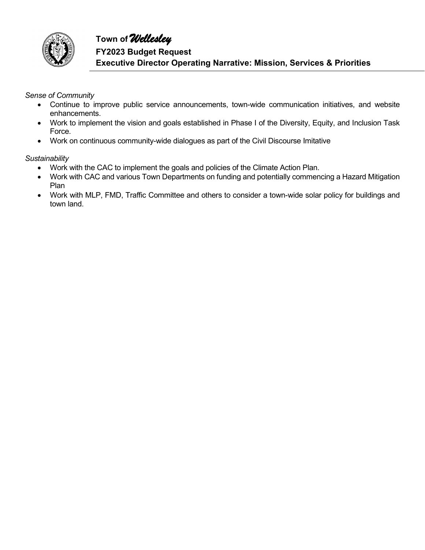

*Sense of Community*

- Continue to improve public service announcements, town-wide communication initiatives, and website enhancements.
- Work to implement the vision and goals established in Phase I of the Diversity, Equity, and Inclusion Task Force.
- Work on continuous community-wide dialogues as part of the Civil Discourse Imitative

*Sustainability*

- Work with the CAC to implement the goals and policies of the Climate Action Plan.
- Work with CAC and various Town Departments on funding and potentially commencing a Hazard Mitigation Plan
- Work with MLP, FMD, Traffic Committee and others to consider a town-wide solar policy for buildings and town land.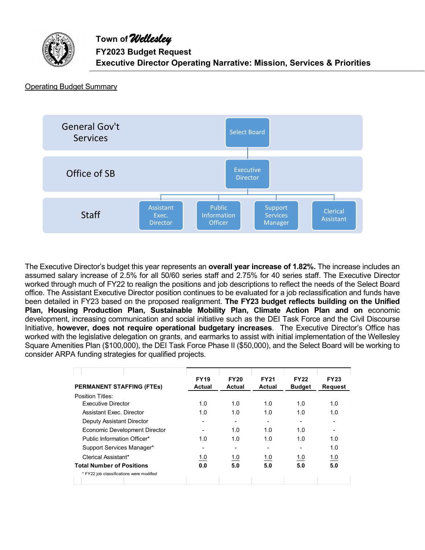

#### Operating Budget Summary



The Executive Director's budget this year represents an **overall year increase of 1.82%.** The increase includes an assumed salary increase of 2.5% for all 50/60 series staff and 2.75% for 40 series staff. The Executive Director worked through much of FY22 to realign the positions and job descriptions to reflect the needs of the Select Board office. The Assistant Executive Director position continues to be evaluated for a job reclassification and funds have been detailed in FY23 based on the proposed realignment. **The FY23 budget reflects building on the Unified Plan, Housing Production Plan, Sustainable Mobility Plan, Climate Action Plan and on** economic development, increasing communication and social initiative such as the DEI Task Force and the Civil Discourse Initiative, **however, does not require operational budgetary increases**. The Executive Director's Office has worked with the legislative delegation on grants, and earmarks to assist with initial implementation of the Wellesley Square Amenities Plan (\$100,000), the DEI Task Force Phase II (\$50,000), and the Select Board will be working to consider ARPA funding strategies for qualified projects.

| <b>PERMANENT STAFFING (FTES)</b>         | <b>FY19</b><br><b>Actual</b> | <b>FY20</b><br><b>Actual</b> | <b>FY21</b><br>Actual | <b>FY22</b><br><b>Budget</b> | <b>FY23</b><br><b>Request</b> |
|------------------------------------------|------------------------------|------------------------------|-----------------------|------------------------------|-------------------------------|
| Position Titles:                         |                              |                              |                       |                              |                               |
| <b>Executive Director</b>                | 1.0                          | 1.0                          | 1.0                   | 1.0                          | 1.0                           |
| Assistant Exec. Director                 | 1.0                          | 1.0                          | 1.0                   | 1.0                          | 1.0                           |
| Deputy Assistant Director                |                              |                              | ۰                     |                              | $\blacksquare$                |
| Economic Development Director            |                              | 1.0                          | 1.0                   | 1.0                          | $\blacksquare$                |
| Public Information Officer*              | 1.0                          | 1.0                          | 1.0                   | 1.0                          | 1.0                           |
| Support Services Manager*                |                              |                              |                       |                              | 1.0                           |
| Clerical Assistant*                      | 1.0                          | 1.0                          | 1.0                   | 1.0                          | 1.0                           |
| <b>Total Number of Positions</b>         | 0.0                          | 5.0                          | 5.0                   | 5.0                          | 5.0                           |
| * FY22 job classifications were modified |                              |                              |                       |                              |                               |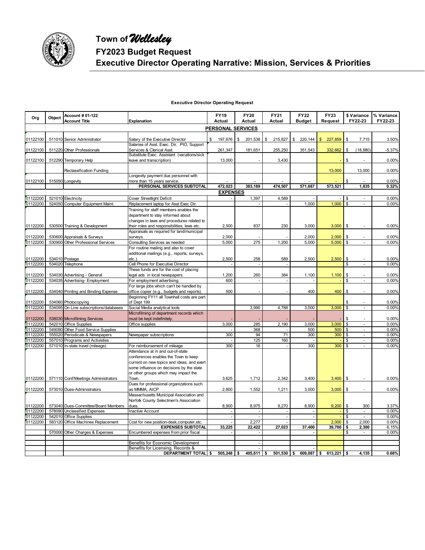

# **Town of** *Wellesley* **FY2023 Budget Request Executive Director Operating Narrative: Mission, Services & Priorities**

#### **Executive Director Operating Request**

| <b>PERSONAL SERVICES</b><br>$197,676$ \$<br>\$<br>215,827<br>\$220,144<br>\$<br>01122100<br>511010 Senior Administrator<br>Salary of the Executive Director<br>\$<br>201,538<br>\$227,859<br>7,715<br>3.50%<br>Salaries of Asst. Exec. Dir, PIO, Support<br>511220 Other Professionals<br>Services & Clerical Asst.<br>261,347<br>181,651<br>255,250<br>351,543<br>332,662<br>\$<br>(18, 880)<br>$-5.37%$<br>Substitute Exec. Assistant (vacations/sick<br>512290 Temporary Help<br>13,000<br>3,430<br>\$<br>0.00%<br>01122100<br>leave and transcription)<br>13,000<br>13,000<br>0.00%<br>Reclassification Funding<br>Longevity payment due personnel with<br>\$<br>01122100<br>0.00%<br>515050 Longevity<br>more than 15 years service.<br>472,023<br>573,521<br>0.32%<br>PERSONAL SERVICES SUBTOTAL<br>383,189<br>474,507<br>571,687<br>1,835<br><b>EXPENSES</b><br>0.00%<br>01122200<br>521010 Electricity<br><b>Cover Streetlight Deficit</b><br>1,397<br>4.589<br>\$<br>$1,000$ \$<br>524050 Computer Equipment Maint.<br>1,000<br>0.00%<br>01122200<br>Replacement laptop for Asst Exec Dir.<br>$\sim$<br>Training for staff members enables the<br>department to stay informed about<br>changes in laws and procedures related to<br>01122200<br>530500 Training & Development<br>their roles and responsibilities, laws etc.<br>2,500<br>837<br>230<br>3,000<br>3,000<br>\$<br>0.00%<br>Appraisals as required for land/municipal<br>01122200<br>530600 Appraisals & Surveys<br>2,000<br>2,000<br>2,000<br>\$<br>0.00%<br>surveys.<br>01122200<br>530900 Other Professional Services<br>Consulting Services as needed<br>5,000<br>275<br>1,200<br>5,000<br>5,000<br>$\mathfrak s$<br>0.00%<br>ä,<br>For routine mailing and also to cover<br>additional mailings (e.g., reports, surveys,<br>534010 Postage<br>2,500<br>258<br>589<br>2,500<br>2,500<br>\$<br>0.00%<br>01122200<br>$etc.$ )<br>01122200<br>534020 Telephone<br>Cell Phone for Executive Director<br>\$<br>0.00%<br>These funds are for the cost of placing<br>01122200<br>legal ads in local newspapers.<br>1,200<br>260<br>384<br>1,100<br>1,100<br>\$<br>0.00%<br>534030 Advertising - General<br>01122200<br>534035 Advertising- Employment<br>For employment advertising.<br>600<br>\$<br>0.00%<br>÷,<br>For large jobs which can't be handled by<br>400<br>01122200<br>534040 Printing and Binding Expense<br>500<br>400<br>\$<br>0.00%<br>office copier (e.g., budgets and reports).<br>Beginning FY11 all Townhall costs are part<br>01122200<br>534060 Photocopying<br>of Dept 199<br>0.00%<br>\$<br>534095 On Line subscriptions/databases<br>Social Media analytical tools<br>3,990<br>4,788<br>3,000<br>3,000<br>$\mathbb{S}$<br>0.00%<br>Microfilming of department records which<br>538030 Microfilming Services<br>\$<br>0.00%<br>01122200<br>must be kept indefinitely.<br>542010 Office Supplies<br>3,000<br>285<br>2,190<br>3,000<br>3,000<br>\$<br>0.00%<br>01122200<br>Office supplies<br>÷,<br>0.00%<br>549090 Other Food Service Supplies<br>368<br>500<br>\$<br>500<br>$\blacksquare$<br>555020 Periodicals & Newspapers<br>300<br>71<br>300<br>300<br>\$<br>0.00%<br>Newspaper subscriptions<br>94<br>$\mathbf{r}$<br>\$<br>557010 Programs and Activisties<br>125<br>160<br>0.00%<br>01122200<br>300<br>300<br>\$<br>0.00%<br>01122200<br>571010 In-state travel (mileage)<br>300<br>For reimbursement of mileage<br>16<br>$\blacksquare$<br>Attendance at in and out-of-state<br>conferences enables the Town to keep<br>current on new topics and ideas, and exert<br>some influence on decisions by the state<br>or other groups which may impact the<br>01122200<br>571110 Conf/Meetings Administrators<br>3,625<br>1,712<br>2,342<br>3,400<br>$3,400$ \$<br>0.00%<br>Town.<br>Dues for professional organizations such<br>573010 Dues-Administrators<br>2,800<br>1,552<br>1,211<br>3,000<br>3,000<br>$\mathfrak s$<br>0.00%<br>as MMMA, AICP<br>Massachusetts Municipal Association and<br>Norfolk County Selectmen's Association<br>8,900<br>8,975<br>9,270<br>8,900<br>9,200<br>\$<br>300<br>01122200<br>573040 Dues-Committee/Board Members<br>3.37%<br>dues.<br>01122200<br>578090 Unclassified Expenses<br>\$<br>0.00%<br>Inactive Account<br>$\mathbf{r}$<br>$\sim$<br>÷.<br>÷.<br>542010 Office Supplies<br>0.00%<br>\$<br>01122200<br>$\mathcal{L}$<br>$\mathcal{L}$<br>$\blacksquare$<br>÷,<br>$2,000$ \$<br>0.00%<br>01122200<br>583120 Office Machines Replacement<br>2,277<br>2,000<br>Cost for new position-desk, computer, etc.<br>$\sim$<br><b>EXPENSES SUBTOTAL</b><br>33,225<br>27,023<br>39,700<br>\$<br>6.15%<br>22,422<br>37.400<br>2,300<br>0.00%<br>570000 Other Charges & Expenses<br>Encumbered expenses from prior fiscal<br>\$<br>$\blacksquare$<br>$\blacksquare$<br>Benefits for Economic Development<br>÷.<br>Benefits for Licensing, Records &<br>0.68%<br>DEPARTMENT TOTAL \$<br>$505,248$ \$<br>$405,611$ \$<br>$501,530$ \$<br>609,087 \$<br>$613,221$ \$<br>4,135 | Org      | Object | Account # 01-122<br><b>Account Title</b> | Explanation | <b>FY19</b><br>Actual | <b>FY20</b><br>Actual | <b>FY21</b><br><b>Actual</b> | <b>FY22</b><br><b>Budget</b> | <b>FY23</b><br>Request | FY22-23 | \$ Variance % Variance<br>FY22-23 |
|-----------------------------------------------------------------------------------------------------------------------------------------------------------------------------------------------------------------------------------------------------------------------------------------------------------------------------------------------------------------------------------------------------------------------------------------------------------------------------------------------------------------------------------------------------------------------------------------------------------------------------------------------------------------------------------------------------------------------------------------------------------------------------------------------------------------------------------------------------------------------------------------------------------------------------------------------------------------------------------------------------------------------------------------------------------------------------------------------------------------------------------------------------------------------------------------------------------------------------------------------------------------------------------------------------------------------------------------------------------------------------------------------------------------------------------------------------------------------------------------------------------------------------------------------------------------------------------------------------------------------------------------------------------------------------------------------------------------------------------------------------------------------------------------------------------------------------------------------------------------------------------------------------------------------------------------------------------------------------------------------------------------------------------------------------------------------------------------------------------------------------------------------------------------------------------------------------------------------------------------------------------------------------------------------------------------------------------------------------------------------------------------------------------------------------------------------------------------------------------------------------------------------------------------------------------------------------------------------------------------------------------------------------------------------------------------------------------------------------------------------------------------------------------------------------------------------------------------------------------------------------------------------------------------------------------------------------------------------------------------------------------------------------------------------------------------------------------------------------------------------------------------------------------------------------------------------------------------------------------------------------------------------------------------------------------------------------------------------------------------------------------------------------------------------------------------------------------------------------------------------------------------------------------------------------------------------------------------------------------------------------------------------------------------------------------------------------------------------------------------------------------------------------------------------------------------------------------------------------------------------------------------------------------------------------------------------------------------------------------------------------------------------------------------------------------------------------------------------------------------------------------------------------------------------------------------------------------------------------------------------------------------------------------------------------------------------------------------------------------------------------------------------------------------------------------------------------------------------------------------------------------------------------------------------------------------------------------------------------------------------------------------------------------------------------------------------------------------------------------------------------------------------------------------------------------------------------------------------------------------------------------------------------------------------------------------------------------------------------------------------------------|----------|--------|------------------------------------------|-------------|-----------------------|-----------------------|------------------------------|------------------------------|------------------------|---------|-----------------------------------|
|                                                                                                                                                                                                                                                                                                                                                                                                                                                                                                                                                                                                                                                                                                                                                                                                                                                                                                                                                                                                                                                                                                                                                                                                                                                                                                                                                                                                                                                                                                                                                                                                                                                                                                                                                                                                                                                                                                                                                                                                                                                                                                                                                                                                                                                                                                                                                                                                                                                                                                                                                                                                                                                                                                                                                                                                                                                                                                                                                                                                                                                                                                                                                                                                                                                                                                                                                                                                                                                                                                                                                                                                                                                                                                                                                                                                                                                                                                                                                                                                                                                                                                                                                                                                                                                                                                                                                                                                                                                                                                                                                                                                                                                                                                                                                                                                                                                                                                                                                                                                           |          |        |                                          |             |                       |                       |                              |                              |                        |         |                                   |
|                                                                                                                                                                                                                                                                                                                                                                                                                                                                                                                                                                                                                                                                                                                                                                                                                                                                                                                                                                                                                                                                                                                                                                                                                                                                                                                                                                                                                                                                                                                                                                                                                                                                                                                                                                                                                                                                                                                                                                                                                                                                                                                                                                                                                                                                                                                                                                                                                                                                                                                                                                                                                                                                                                                                                                                                                                                                                                                                                                                                                                                                                                                                                                                                                                                                                                                                                                                                                                                                                                                                                                                                                                                                                                                                                                                                                                                                                                                                                                                                                                                                                                                                                                                                                                                                                                                                                                                                                                                                                                                                                                                                                                                                                                                                                                                                                                                                                                                                                                                                           |          |        |                                          |             |                       |                       |                              |                              |                        |         |                                   |
|                                                                                                                                                                                                                                                                                                                                                                                                                                                                                                                                                                                                                                                                                                                                                                                                                                                                                                                                                                                                                                                                                                                                                                                                                                                                                                                                                                                                                                                                                                                                                                                                                                                                                                                                                                                                                                                                                                                                                                                                                                                                                                                                                                                                                                                                                                                                                                                                                                                                                                                                                                                                                                                                                                                                                                                                                                                                                                                                                                                                                                                                                                                                                                                                                                                                                                                                                                                                                                                                                                                                                                                                                                                                                                                                                                                                                                                                                                                                                                                                                                                                                                                                                                                                                                                                                                                                                                                                                                                                                                                                                                                                                                                                                                                                                                                                                                                                                                                                                                                                           |          |        |                                          |             |                       |                       |                              |                              |                        |         |                                   |
|                                                                                                                                                                                                                                                                                                                                                                                                                                                                                                                                                                                                                                                                                                                                                                                                                                                                                                                                                                                                                                                                                                                                                                                                                                                                                                                                                                                                                                                                                                                                                                                                                                                                                                                                                                                                                                                                                                                                                                                                                                                                                                                                                                                                                                                                                                                                                                                                                                                                                                                                                                                                                                                                                                                                                                                                                                                                                                                                                                                                                                                                                                                                                                                                                                                                                                                                                                                                                                                                                                                                                                                                                                                                                                                                                                                                                                                                                                                                                                                                                                                                                                                                                                                                                                                                                                                                                                                                                                                                                                                                                                                                                                                                                                                                                                                                                                                                                                                                                                                                           | 01122100 |        |                                          |             |                       |                       |                              |                              |                        |         |                                   |
|                                                                                                                                                                                                                                                                                                                                                                                                                                                                                                                                                                                                                                                                                                                                                                                                                                                                                                                                                                                                                                                                                                                                                                                                                                                                                                                                                                                                                                                                                                                                                                                                                                                                                                                                                                                                                                                                                                                                                                                                                                                                                                                                                                                                                                                                                                                                                                                                                                                                                                                                                                                                                                                                                                                                                                                                                                                                                                                                                                                                                                                                                                                                                                                                                                                                                                                                                                                                                                                                                                                                                                                                                                                                                                                                                                                                                                                                                                                                                                                                                                                                                                                                                                                                                                                                                                                                                                                                                                                                                                                                                                                                                                                                                                                                                                                                                                                                                                                                                                                                           |          |        |                                          |             |                       |                       |                              |                              |                        |         |                                   |
|                                                                                                                                                                                                                                                                                                                                                                                                                                                                                                                                                                                                                                                                                                                                                                                                                                                                                                                                                                                                                                                                                                                                                                                                                                                                                                                                                                                                                                                                                                                                                                                                                                                                                                                                                                                                                                                                                                                                                                                                                                                                                                                                                                                                                                                                                                                                                                                                                                                                                                                                                                                                                                                                                                                                                                                                                                                                                                                                                                                                                                                                                                                                                                                                                                                                                                                                                                                                                                                                                                                                                                                                                                                                                                                                                                                                                                                                                                                                                                                                                                                                                                                                                                                                                                                                                                                                                                                                                                                                                                                                                                                                                                                                                                                                                                                                                                                                                                                                                                                                           |          |        |                                          |             |                       |                       |                              |                              |                        |         |                                   |
|                                                                                                                                                                                                                                                                                                                                                                                                                                                                                                                                                                                                                                                                                                                                                                                                                                                                                                                                                                                                                                                                                                                                                                                                                                                                                                                                                                                                                                                                                                                                                                                                                                                                                                                                                                                                                                                                                                                                                                                                                                                                                                                                                                                                                                                                                                                                                                                                                                                                                                                                                                                                                                                                                                                                                                                                                                                                                                                                                                                                                                                                                                                                                                                                                                                                                                                                                                                                                                                                                                                                                                                                                                                                                                                                                                                                                                                                                                                                                                                                                                                                                                                                                                                                                                                                                                                                                                                                                                                                                                                                                                                                                                                                                                                                                                                                                                                                                                                                                                                                           |          |        |                                          |             |                       |                       |                              |                              |                        |         |                                   |
|                                                                                                                                                                                                                                                                                                                                                                                                                                                                                                                                                                                                                                                                                                                                                                                                                                                                                                                                                                                                                                                                                                                                                                                                                                                                                                                                                                                                                                                                                                                                                                                                                                                                                                                                                                                                                                                                                                                                                                                                                                                                                                                                                                                                                                                                                                                                                                                                                                                                                                                                                                                                                                                                                                                                                                                                                                                                                                                                                                                                                                                                                                                                                                                                                                                                                                                                                                                                                                                                                                                                                                                                                                                                                                                                                                                                                                                                                                                                                                                                                                                                                                                                                                                                                                                                                                                                                                                                                                                                                                                                                                                                                                                                                                                                                                                                                                                                                                                                                                                                           |          |        |                                          |             |                       |                       |                              |                              |                        |         |                                   |
|                                                                                                                                                                                                                                                                                                                                                                                                                                                                                                                                                                                                                                                                                                                                                                                                                                                                                                                                                                                                                                                                                                                                                                                                                                                                                                                                                                                                                                                                                                                                                                                                                                                                                                                                                                                                                                                                                                                                                                                                                                                                                                                                                                                                                                                                                                                                                                                                                                                                                                                                                                                                                                                                                                                                                                                                                                                                                                                                                                                                                                                                                                                                                                                                                                                                                                                                                                                                                                                                                                                                                                                                                                                                                                                                                                                                                                                                                                                                                                                                                                                                                                                                                                                                                                                                                                                                                                                                                                                                                                                                                                                                                                                                                                                                                                                                                                                                                                                                                                                                           |          |        |                                          |             |                       |                       |                              |                              |                        |         |                                   |
|                                                                                                                                                                                                                                                                                                                                                                                                                                                                                                                                                                                                                                                                                                                                                                                                                                                                                                                                                                                                                                                                                                                                                                                                                                                                                                                                                                                                                                                                                                                                                                                                                                                                                                                                                                                                                                                                                                                                                                                                                                                                                                                                                                                                                                                                                                                                                                                                                                                                                                                                                                                                                                                                                                                                                                                                                                                                                                                                                                                                                                                                                                                                                                                                                                                                                                                                                                                                                                                                                                                                                                                                                                                                                                                                                                                                                                                                                                                                                                                                                                                                                                                                                                                                                                                                                                                                                                                                                                                                                                                                                                                                                                                                                                                                                                                                                                                                                                                                                                                                           |          |        |                                          |             |                       |                       |                              |                              |                        |         |                                   |
|                                                                                                                                                                                                                                                                                                                                                                                                                                                                                                                                                                                                                                                                                                                                                                                                                                                                                                                                                                                                                                                                                                                                                                                                                                                                                                                                                                                                                                                                                                                                                                                                                                                                                                                                                                                                                                                                                                                                                                                                                                                                                                                                                                                                                                                                                                                                                                                                                                                                                                                                                                                                                                                                                                                                                                                                                                                                                                                                                                                                                                                                                                                                                                                                                                                                                                                                                                                                                                                                                                                                                                                                                                                                                                                                                                                                                                                                                                                                                                                                                                                                                                                                                                                                                                                                                                                                                                                                                                                                                                                                                                                                                                                                                                                                                                                                                                                                                                                                                                                                           |          |        |                                          |             |                       |                       |                              |                              |                        |         |                                   |
|                                                                                                                                                                                                                                                                                                                                                                                                                                                                                                                                                                                                                                                                                                                                                                                                                                                                                                                                                                                                                                                                                                                                                                                                                                                                                                                                                                                                                                                                                                                                                                                                                                                                                                                                                                                                                                                                                                                                                                                                                                                                                                                                                                                                                                                                                                                                                                                                                                                                                                                                                                                                                                                                                                                                                                                                                                                                                                                                                                                                                                                                                                                                                                                                                                                                                                                                                                                                                                                                                                                                                                                                                                                                                                                                                                                                                                                                                                                                                                                                                                                                                                                                                                                                                                                                                                                                                                                                                                                                                                                                                                                                                                                                                                                                                                                                                                                                                                                                                                                                           |          |        |                                          |             |                       |                       |                              |                              |                        |         |                                   |
|                                                                                                                                                                                                                                                                                                                                                                                                                                                                                                                                                                                                                                                                                                                                                                                                                                                                                                                                                                                                                                                                                                                                                                                                                                                                                                                                                                                                                                                                                                                                                                                                                                                                                                                                                                                                                                                                                                                                                                                                                                                                                                                                                                                                                                                                                                                                                                                                                                                                                                                                                                                                                                                                                                                                                                                                                                                                                                                                                                                                                                                                                                                                                                                                                                                                                                                                                                                                                                                                                                                                                                                                                                                                                                                                                                                                                                                                                                                                                                                                                                                                                                                                                                                                                                                                                                                                                                                                                                                                                                                                                                                                                                                                                                                                                                                                                                                                                                                                                                                                           |          |        |                                          |             |                       |                       |                              |                              |                        |         |                                   |
|                                                                                                                                                                                                                                                                                                                                                                                                                                                                                                                                                                                                                                                                                                                                                                                                                                                                                                                                                                                                                                                                                                                                                                                                                                                                                                                                                                                                                                                                                                                                                                                                                                                                                                                                                                                                                                                                                                                                                                                                                                                                                                                                                                                                                                                                                                                                                                                                                                                                                                                                                                                                                                                                                                                                                                                                                                                                                                                                                                                                                                                                                                                                                                                                                                                                                                                                                                                                                                                                                                                                                                                                                                                                                                                                                                                                                                                                                                                                                                                                                                                                                                                                                                                                                                                                                                                                                                                                                                                                                                                                                                                                                                                                                                                                                                                                                                                                                                                                                                                                           |          |        |                                          |             |                       |                       |                              |                              |                        |         |                                   |
|                                                                                                                                                                                                                                                                                                                                                                                                                                                                                                                                                                                                                                                                                                                                                                                                                                                                                                                                                                                                                                                                                                                                                                                                                                                                                                                                                                                                                                                                                                                                                                                                                                                                                                                                                                                                                                                                                                                                                                                                                                                                                                                                                                                                                                                                                                                                                                                                                                                                                                                                                                                                                                                                                                                                                                                                                                                                                                                                                                                                                                                                                                                                                                                                                                                                                                                                                                                                                                                                                                                                                                                                                                                                                                                                                                                                                                                                                                                                                                                                                                                                                                                                                                                                                                                                                                                                                                                                                                                                                                                                                                                                                                                                                                                                                                                                                                                                                                                                                                                                           |          |        |                                          |             |                       |                       |                              |                              |                        |         |                                   |
|                                                                                                                                                                                                                                                                                                                                                                                                                                                                                                                                                                                                                                                                                                                                                                                                                                                                                                                                                                                                                                                                                                                                                                                                                                                                                                                                                                                                                                                                                                                                                                                                                                                                                                                                                                                                                                                                                                                                                                                                                                                                                                                                                                                                                                                                                                                                                                                                                                                                                                                                                                                                                                                                                                                                                                                                                                                                                                                                                                                                                                                                                                                                                                                                                                                                                                                                                                                                                                                                                                                                                                                                                                                                                                                                                                                                                                                                                                                                                                                                                                                                                                                                                                                                                                                                                                                                                                                                                                                                                                                                                                                                                                                                                                                                                                                                                                                                                                                                                                                                           |          |        |                                          |             |                       |                       |                              |                              |                        |         |                                   |
|                                                                                                                                                                                                                                                                                                                                                                                                                                                                                                                                                                                                                                                                                                                                                                                                                                                                                                                                                                                                                                                                                                                                                                                                                                                                                                                                                                                                                                                                                                                                                                                                                                                                                                                                                                                                                                                                                                                                                                                                                                                                                                                                                                                                                                                                                                                                                                                                                                                                                                                                                                                                                                                                                                                                                                                                                                                                                                                                                                                                                                                                                                                                                                                                                                                                                                                                                                                                                                                                                                                                                                                                                                                                                                                                                                                                                                                                                                                                                                                                                                                                                                                                                                                                                                                                                                                                                                                                                                                                                                                                                                                                                                                                                                                                                                                                                                                                                                                                                                                                           |          |        |                                          |             |                       |                       |                              |                              |                        |         |                                   |
|                                                                                                                                                                                                                                                                                                                                                                                                                                                                                                                                                                                                                                                                                                                                                                                                                                                                                                                                                                                                                                                                                                                                                                                                                                                                                                                                                                                                                                                                                                                                                                                                                                                                                                                                                                                                                                                                                                                                                                                                                                                                                                                                                                                                                                                                                                                                                                                                                                                                                                                                                                                                                                                                                                                                                                                                                                                                                                                                                                                                                                                                                                                                                                                                                                                                                                                                                                                                                                                                                                                                                                                                                                                                                                                                                                                                                                                                                                                                                                                                                                                                                                                                                                                                                                                                                                                                                                                                                                                                                                                                                                                                                                                                                                                                                                                                                                                                                                                                                                                                           |          |        |                                          |             |                       |                       |                              |                              |                        |         |                                   |
|                                                                                                                                                                                                                                                                                                                                                                                                                                                                                                                                                                                                                                                                                                                                                                                                                                                                                                                                                                                                                                                                                                                                                                                                                                                                                                                                                                                                                                                                                                                                                                                                                                                                                                                                                                                                                                                                                                                                                                                                                                                                                                                                                                                                                                                                                                                                                                                                                                                                                                                                                                                                                                                                                                                                                                                                                                                                                                                                                                                                                                                                                                                                                                                                                                                                                                                                                                                                                                                                                                                                                                                                                                                                                                                                                                                                                                                                                                                                                                                                                                                                                                                                                                                                                                                                                                                                                                                                                                                                                                                                                                                                                                                                                                                                                                                                                                                                                                                                                                                                           |          |        |                                          |             |                       |                       |                              |                              |                        |         |                                   |
|                                                                                                                                                                                                                                                                                                                                                                                                                                                                                                                                                                                                                                                                                                                                                                                                                                                                                                                                                                                                                                                                                                                                                                                                                                                                                                                                                                                                                                                                                                                                                                                                                                                                                                                                                                                                                                                                                                                                                                                                                                                                                                                                                                                                                                                                                                                                                                                                                                                                                                                                                                                                                                                                                                                                                                                                                                                                                                                                                                                                                                                                                                                                                                                                                                                                                                                                                                                                                                                                                                                                                                                                                                                                                                                                                                                                                                                                                                                                                                                                                                                                                                                                                                                                                                                                                                                                                                                                                                                                                                                                                                                                                                                                                                                                                                                                                                                                                                                                                                                                           |          |        |                                          |             |                       |                       |                              |                              |                        |         |                                   |
|                                                                                                                                                                                                                                                                                                                                                                                                                                                                                                                                                                                                                                                                                                                                                                                                                                                                                                                                                                                                                                                                                                                                                                                                                                                                                                                                                                                                                                                                                                                                                                                                                                                                                                                                                                                                                                                                                                                                                                                                                                                                                                                                                                                                                                                                                                                                                                                                                                                                                                                                                                                                                                                                                                                                                                                                                                                                                                                                                                                                                                                                                                                                                                                                                                                                                                                                                                                                                                                                                                                                                                                                                                                                                                                                                                                                                                                                                                                                                                                                                                                                                                                                                                                                                                                                                                                                                                                                                                                                                                                                                                                                                                                                                                                                                                                                                                                                                                                                                                                                           |          |        |                                          |             |                       |                       |                              |                              |                        |         |                                   |
|                                                                                                                                                                                                                                                                                                                                                                                                                                                                                                                                                                                                                                                                                                                                                                                                                                                                                                                                                                                                                                                                                                                                                                                                                                                                                                                                                                                                                                                                                                                                                                                                                                                                                                                                                                                                                                                                                                                                                                                                                                                                                                                                                                                                                                                                                                                                                                                                                                                                                                                                                                                                                                                                                                                                                                                                                                                                                                                                                                                                                                                                                                                                                                                                                                                                                                                                                                                                                                                                                                                                                                                                                                                                                                                                                                                                                                                                                                                                                                                                                                                                                                                                                                                                                                                                                                                                                                                                                                                                                                                                                                                                                                                                                                                                                                                                                                                                                                                                                                                                           | 01122200 |        |                                          |             |                       |                       |                              |                              |                        |         |                                   |
|                                                                                                                                                                                                                                                                                                                                                                                                                                                                                                                                                                                                                                                                                                                                                                                                                                                                                                                                                                                                                                                                                                                                                                                                                                                                                                                                                                                                                                                                                                                                                                                                                                                                                                                                                                                                                                                                                                                                                                                                                                                                                                                                                                                                                                                                                                                                                                                                                                                                                                                                                                                                                                                                                                                                                                                                                                                                                                                                                                                                                                                                                                                                                                                                                                                                                                                                                                                                                                                                                                                                                                                                                                                                                                                                                                                                                                                                                                                                                                                                                                                                                                                                                                                                                                                                                                                                                                                                                                                                                                                                                                                                                                                                                                                                                                                                                                                                                                                                                                                                           |          |        |                                          |             |                       |                       |                              |                              |                        |         |                                   |
|                                                                                                                                                                                                                                                                                                                                                                                                                                                                                                                                                                                                                                                                                                                                                                                                                                                                                                                                                                                                                                                                                                                                                                                                                                                                                                                                                                                                                                                                                                                                                                                                                                                                                                                                                                                                                                                                                                                                                                                                                                                                                                                                                                                                                                                                                                                                                                                                                                                                                                                                                                                                                                                                                                                                                                                                                                                                                                                                                                                                                                                                                                                                                                                                                                                                                                                                                                                                                                                                                                                                                                                                                                                                                                                                                                                                                                                                                                                                                                                                                                                                                                                                                                                                                                                                                                                                                                                                                                                                                                                                                                                                                                                                                                                                                                                                                                                                                                                                                                                                           |          |        |                                          |             |                       |                       |                              |                              |                        |         |                                   |
|                                                                                                                                                                                                                                                                                                                                                                                                                                                                                                                                                                                                                                                                                                                                                                                                                                                                                                                                                                                                                                                                                                                                                                                                                                                                                                                                                                                                                                                                                                                                                                                                                                                                                                                                                                                                                                                                                                                                                                                                                                                                                                                                                                                                                                                                                                                                                                                                                                                                                                                                                                                                                                                                                                                                                                                                                                                                                                                                                                                                                                                                                                                                                                                                                                                                                                                                                                                                                                                                                                                                                                                                                                                                                                                                                                                                                                                                                                                                                                                                                                                                                                                                                                                                                                                                                                                                                                                                                                                                                                                                                                                                                                                                                                                                                                                                                                                                                                                                                                                                           | 01122200 |        |                                          |             |                       |                       |                              |                              |                        |         |                                   |
|                                                                                                                                                                                                                                                                                                                                                                                                                                                                                                                                                                                                                                                                                                                                                                                                                                                                                                                                                                                                                                                                                                                                                                                                                                                                                                                                                                                                                                                                                                                                                                                                                                                                                                                                                                                                                                                                                                                                                                                                                                                                                                                                                                                                                                                                                                                                                                                                                                                                                                                                                                                                                                                                                                                                                                                                                                                                                                                                                                                                                                                                                                                                                                                                                                                                                                                                                                                                                                                                                                                                                                                                                                                                                                                                                                                                                                                                                                                                                                                                                                                                                                                                                                                                                                                                                                                                                                                                                                                                                                                                                                                                                                                                                                                                                                                                                                                                                                                                                                                                           | 01122200 |        |                                          |             |                       |                       |                              |                              |                        |         |                                   |
|                                                                                                                                                                                                                                                                                                                                                                                                                                                                                                                                                                                                                                                                                                                                                                                                                                                                                                                                                                                                                                                                                                                                                                                                                                                                                                                                                                                                                                                                                                                                                                                                                                                                                                                                                                                                                                                                                                                                                                                                                                                                                                                                                                                                                                                                                                                                                                                                                                                                                                                                                                                                                                                                                                                                                                                                                                                                                                                                                                                                                                                                                                                                                                                                                                                                                                                                                                                                                                                                                                                                                                                                                                                                                                                                                                                                                                                                                                                                                                                                                                                                                                                                                                                                                                                                                                                                                                                                                                                                                                                                                                                                                                                                                                                                                                                                                                                                                                                                                                                                           |          |        |                                          |             |                       |                       |                              |                              |                        |         |                                   |
|                                                                                                                                                                                                                                                                                                                                                                                                                                                                                                                                                                                                                                                                                                                                                                                                                                                                                                                                                                                                                                                                                                                                                                                                                                                                                                                                                                                                                                                                                                                                                                                                                                                                                                                                                                                                                                                                                                                                                                                                                                                                                                                                                                                                                                                                                                                                                                                                                                                                                                                                                                                                                                                                                                                                                                                                                                                                                                                                                                                                                                                                                                                                                                                                                                                                                                                                                                                                                                                                                                                                                                                                                                                                                                                                                                                                                                                                                                                                                                                                                                                                                                                                                                                                                                                                                                                                                                                                                                                                                                                                                                                                                                                                                                                                                                                                                                                                                                                                                                                                           |          |        |                                          |             |                       |                       |                              |                              |                        |         |                                   |
|                                                                                                                                                                                                                                                                                                                                                                                                                                                                                                                                                                                                                                                                                                                                                                                                                                                                                                                                                                                                                                                                                                                                                                                                                                                                                                                                                                                                                                                                                                                                                                                                                                                                                                                                                                                                                                                                                                                                                                                                                                                                                                                                                                                                                                                                                                                                                                                                                                                                                                                                                                                                                                                                                                                                                                                                                                                                                                                                                                                                                                                                                                                                                                                                                                                                                                                                                                                                                                                                                                                                                                                                                                                                                                                                                                                                                                                                                                                                                                                                                                                                                                                                                                                                                                                                                                                                                                                                                                                                                                                                                                                                                                                                                                                                                                                                                                                                                                                                                                                                           |          |        |                                          |             |                       |                       |                              |                              |                        |         |                                   |
|                                                                                                                                                                                                                                                                                                                                                                                                                                                                                                                                                                                                                                                                                                                                                                                                                                                                                                                                                                                                                                                                                                                                                                                                                                                                                                                                                                                                                                                                                                                                                                                                                                                                                                                                                                                                                                                                                                                                                                                                                                                                                                                                                                                                                                                                                                                                                                                                                                                                                                                                                                                                                                                                                                                                                                                                                                                                                                                                                                                                                                                                                                                                                                                                                                                                                                                                                                                                                                                                                                                                                                                                                                                                                                                                                                                                                                                                                                                                                                                                                                                                                                                                                                                                                                                                                                                                                                                                                                                                                                                                                                                                                                                                                                                                                                                                                                                                                                                                                                                                           |          |        |                                          |             |                       |                       |                              |                              |                        |         |                                   |
|                                                                                                                                                                                                                                                                                                                                                                                                                                                                                                                                                                                                                                                                                                                                                                                                                                                                                                                                                                                                                                                                                                                                                                                                                                                                                                                                                                                                                                                                                                                                                                                                                                                                                                                                                                                                                                                                                                                                                                                                                                                                                                                                                                                                                                                                                                                                                                                                                                                                                                                                                                                                                                                                                                                                                                                                                                                                                                                                                                                                                                                                                                                                                                                                                                                                                                                                                                                                                                                                                                                                                                                                                                                                                                                                                                                                                                                                                                                                                                                                                                                                                                                                                                                                                                                                                                                                                                                                                                                                                                                                                                                                                                                                                                                                                                                                                                                                                                                                                                                                           | 01122200 |        |                                          |             |                       |                       |                              |                              |                        |         |                                   |
|                                                                                                                                                                                                                                                                                                                                                                                                                                                                                                                                                                                                                                                                                                                                                                                                                                                                                                                                                                                                                                                                                                                                                                                                                                                                                                                                                                                                                                                                                                                                                                                                                                                                                                                                                                                                                                                                                                                                                                                                                                                                                                                                                                                                                                                                                                                                                                                                                                                                                                                                                                                                                                                                                                                                                                                                                                                                                                                                                                                                                                                                                                                                                                                                                                                                                                                                                                                                                                                                                                                                                                                                                                                                                                                                                                                                                                                                                                                                                                                                                                                                                                                                                                                                                                                                                                                                                                                                                                                                                                                                                                                                                                                                                                                                                                                                                                                                                                                                                                                                           |          |        |                                          |             |                       |                       |                              |                              |                        |         |                                   |
|                                                                                                                                                                                                                                                                                                                                                                                                                                                                                                                                                                                                                                                                                                                                                                                                                                                                                                                                                                                                                                                                                                                                                                                                                                                                                                                                                                                                                                                                                                                                                                                                                                                                                                                                                                                                                                                                                                                                                                                                                                                                                                                                                                                                                                                                                                                                                                                                                                                                                                                                                                                                                                                                                                                                                                                                                                                                                                                                                                                                                                                                                                                                                                                                                                                                                                                                                                                                                                                                                                                                                                                                                                                                                                                                                                                                                                                                                                                                                                                                                                                                                                                                                                                                                                                                                                                                                                                                                                                                                                                                                                                                                                                                                                                                                                                                                                                                                                                                                                                                           |          |        |                                          |             |                       |                       |                              |                              |                        |         |                                   |
|                                                                                                                                                                                                                                                                                                                                                                                                                                                                                                                                                                                                                                                                                                                                                                                                                                                                                                                                                                                                                                                                                                                                                                                                                                                                                                                                                                                                                                                                                                                                                                                                                                                                                                                                                                                                                                                                                                                                                                                                                                                                                                                                                                                                                                                                                                                                                                                                                                                                                                                                                                                                                                                                                                                                                                                                                                                                                                                                                                                                                                                                                                                                                                                                                                                                                                                                                                                                                                                                                                                                                                                                                                                                                                                                                                                                                                                                                                                                                                                                                                                                                                                                                                                                                                                                                                                                                                                                                                                                                                                                                                                                                                                                                                                                                                                                                                                                                                                                                                                                           |          |        |                                          |             |                       |                       |                              |                              |                        |         |                                   |
|                                                                                                                                                                                                                                                                                                                                                                                                                                                                                                                                                                                                                                                                                                                                                                                                                                                                                                                                                                                                                                                                                                                                                                                                                                                                                                                                                                                                                                                                                                                                                                                                                                                                                                                                                                                                                                                                                                                                                                                                                                                                                                                                                                                                                                                                                                                                                                                                                                                                                                                                                                                                                                                                                                                                                                                                                                                                                                                                                                                                                                                                                                                                                                                                                                                                                                                                                                                                                                                                                                                                                                                                                                                                                                                                                                                                                                                                                                                                                                                                                                                                                                                                                                                                                                                                                                                                                                                                                                                                                                                                                                                                                                                                                                                                                                                                                                                                                                                                                                                                           |          |        |                                          |             |                       |                       |                              |                              |                        |         |                                   |
|                                                                                                                                                                                                                                                                                                                                                                                                                                                                                                                                                                                                                                                                                                                                                                                                                                                                                                                                                                                                                                                                                                                                                                                                                                                                                                                                                                                                                                                                                                                                                                                                                                                                                                                                                                                                                                                                                                                                                                                                                                                                                                                                                                                                                                                                                                                                                                                                                                                                                                                                                                                                                                                                                                                                                                                                                                                                                                                                                                                                                                                                                                                                                                                                                                                                                                                                                                                                                                                                                                                                                                                                                                                                                                                                                                                                                                                                                                                                                                                                                                                                                                                                                                                                                                                                                                                                                                                                                                                                                                                                                                                                                                                                                                                                                                                                                                                                                                                                                                                                           |          |        |                                          |             |                       |                       |                              |                              |                        |         |                                   |
|                                                                                                                                                                                                                                                                                                                                                                                                                                                                                                                                                                                                                                                                                                                                                                                                                                                                                                                                                                                                                                                                                                                                                                                                                                                                                                                                                                                                                                                                                                                                                                                                                                                                                                                                                                                                                                                                                                                                                                                                                                                                                                                                                                                                                                                                                                                                                                                                                                                                                                                                                                                                                                                                                                                                                                                                                                                                                                                                                                                                                                                                                                                                                                                                                                                                                                                                                                                                                                                                                                                                                                                                                                                                                                                                                                                                                                                                                                                                                                                                                                                                                                                                                                                                                                                                                                                                                                                                                                                                                                                                                                                                                                                                                                                                                                                                                                                                                                                                                                                                           |          |        |                                          |             |                       |                       |                              |                              |                        |         |                                   |
|                                                                                                                                                                                                                                                                                                                                                                                                                                                                                                                                                                                                                                                                                                                                                                                                                                                                                                                                                                                                                                                                                                                                                                                                                                                                                                                                                                                                                                                                                                                                                                                                                                                                                                                                                                                                                                                                                                                                                                                                                                                                                                                                                                                                                                                                                                                                                                                                                                                                                                                                                                                                                                                                                                                                                                                                                                                                                                                                                                                                                                                                                                                                                                                                                                                                                                                                                                                                                                                                                                                                                                                                                                                                                                                                                                                                                                                                                                                                                                                                                                                                                                                                                                                                                                                                                                                                                                                                                                                                                                                                                                                                                                                                                                                                                                                                                                                                                                                                                                                                           |          |        |                                          |             |                       |                       |                              |                              |                        |         |                                   |
|                                                                                                                                                                                                                                                                                                                                                                                                                                                                                                                                                                                                                                                                                                                                                                                                                                                                                                                                                                                                                                                                                                                                                                                                                                                                                                                                                                                                                                                                                                                                                                                                                                                                                                                                                                                                                                                                                                                                                                                                                                                                                                                                                                                                                                                                                                                                                                                                                                                                                                                                                                                                                                                                                                                                                                                                                                                                                                                                                                                                                                                                                                                                                                                                                                                                                                                                                                                                                                                                                                                                                                                                                                                                                                                                                                                                                                                                                                                                                                                                                                                                                                                                                                                                                                                                                                                                                                                                                                                                                                                                                                                                                                                                                                                                                                                                                                                                                                                                                                                                           |          |        |                                          |             |                       |                       |                              |                              |                        |         |                                   |
|                                                                                                                                                                                                                                                                                                                                                                                                                                                                                                                                                                                                                                                                                                                                                                                                                                                                                                                                                                                                                                                                                                                                                                                                                                                                                                                                                                                                                                                                                                                                                                                                                                                                                                                                                                                                                                                                                                                                                                                                                                                                                                                                                                                                                                                                                                                                                                                                                                                                                                                                                                                                                                                                                                                                                                                                                                                                                                                                                                                                                                                                                                                                                                                                                                                                                                                                                                                                                                                                                                                                                                                                                                                                                                                                                                                                                                                                                                                                                                                                                                                                                                                                                                                                                                                                                                                                                                                                                                                                                                                                                                                                                                                                                                                                                                                                                                                                                                                                                                                                           |          |        |                                          |             |                       |                       |                              |                              |                        |         |                                   |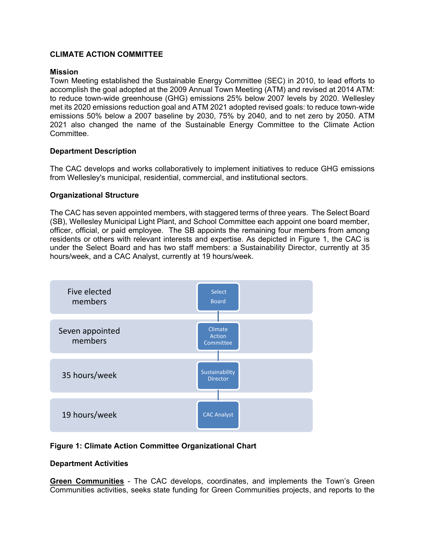#### **CLIMATE ACTION COMMITTEE**

#### **Mission**

Town Meeting established the Sustainable Energy Committee (SEC) in 2010, to lead efforts to accomplish the goal adopted at the 2009 Annual Town Meeting (ATM) and revised at 2014 ATM: to reduce town-wide greenhouse (GHG) emissions 25% below 2007 levels by 2020. Wellesley met its 2020 emissions reduction goal and ATM 2021 adopted revised goals: to reduce town-wide emissions 50% below a 2007 baseline by 2030, 75% by 2040, and to net zero by 2050. ATM 2021 also changed the name of the Sustainable Energy Committee to the Climate Action Committee.

#### **Department Description**

The CAC develops and works collaboratively to implement initiatives to reduce GHG emissions from Wellesley's municipal, residential, commercial, and institutional sectors.

#### **Organizational Structure**

The CAC has seven appointed members, with staggered terms of three years. The Select Board (SB), Wellesley Municipal Light Plant, and School Committee each appoint one board member, officer, official, or paid employee. The SB appoints the remaining four members from among residents or others with relevant interests and expertise. As depicted in Figure 1, the CAC is under the Select Board and has two staff members: a Sustainability Director, currently at 35 hours/week, and a CAC Analyst, currently at 19 hours/week.



#### **Figure 1: Climate Action Committee Organizational Chart**

#### **Department Activities**

**Green Communities** - The CAC develops, coordinates, and implements the Town's Green Communities activities, seeks state funding for Green Communities projects, and reports to the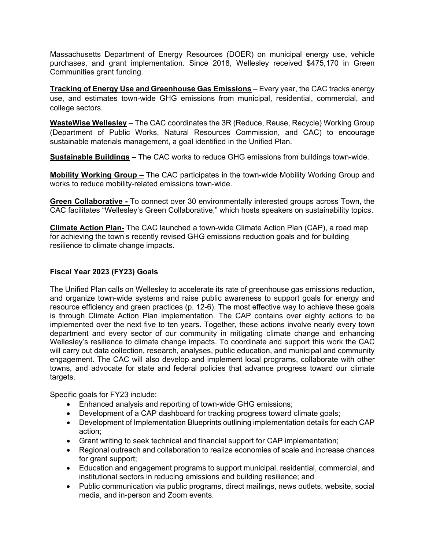Massachusetts Department of Energy Resources (DOER) on municipal energy use, vehicle purchases, and grant implementation. Since 2018, Wellesley received \$475,170 in Green Communities grant funding.

**Tracking of Energy Use and Greenhouse Gas Emissions** – Every year, the CAC tracks energy use, and estimates town-wide GHG emissions from municipal, residential, commercial, and college sectors.

**WasteWise Wellesley** – The CAC coordinates the 3R (Reduce, Reuse, Recycle) Working Group (Department of Public Works, Natural Resources Commission, and CAC) to encourage sustainable materials management, a goal identified in the Unified Plan.

**Sustainable Buildings** – The CAC works to reduce GHG emissions from buildings town-wide.

**Mobility Working Group –** The CAC participates in the town-wide Mobility Working Group and works to reduce mobility-related emissions town-wide.

**Green Collaborative -** To connect over 30 environmentally interested groups across Town, the CAC facilitates "Wellesley's Green Collaborative," which hosts speakers on sustainability topics.

**Climate Action Plan-** The CAC launched a town-wide Climate Action Plan (CAP), a road map for achieving the town's recently revised GHG emissions reduction goals and for building resilience to climate change impacts.

## **Fiscal Year 2023 (FY23) Goals**

The Unified Plan calls on Wellesley to accelerate its rate of greenhouse gas emissions reduction, and organize town-wide systems and raise public awareness to support goals for energy and resource efficiency and green practices (p. 12-6). The most effective way to achieve these goals is through Climate Action Plan implementation. The CAP contains over eighty actions to be implemented over the next five to ten years. Together, these actions involve nearly every town department and every sector of our community in mitigating climate change and enhancing Wellesley's resilience to climate change impacts. To coordinate and support this work the CAC will carry out data collection, research, analyses, public education, and municipal and community engagement. The CAC will also develop and implement local programs, collaborate with other towns, and advocate for state and federal policies that advance progress toward our climate targets.

Specific goals for FY23 include:

- Enhanced analysis and reporting of town-wide GHG emissions;
- Development of a CAP dashboard for tracking progress toward climate goals;
- Development of Implementation Blueprints outlining implementation details for each CAP action;
- Grant writing to seek technical and financial support for CAP implementation;
- Regional outreach and collaboration to realize economies of scale and increase chances for grant support;
- Education and engagement programs to support municipal, residential, commercial, and institutional sectors in reducing emissions and building resilience; and
- Public communication via public programs, direct mailings, news outlets, website, social media, and in-person and Zoom events.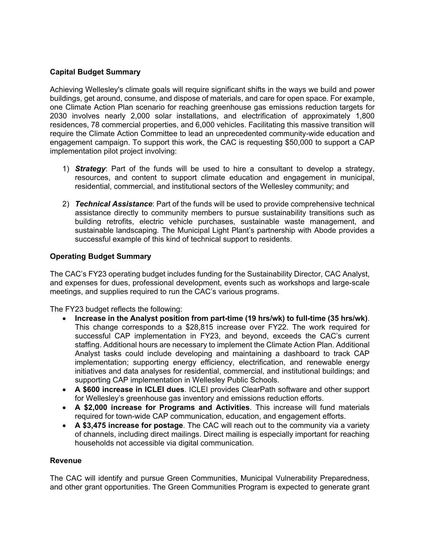#### **Capital Budget Summary**

Achieving Wellesley's climate goals will require significant shifts in the ways we build and power buildings, get around, consume, and dispose of materials, and care for open space. For example, one Climate Action Plan scenario for reaching greenhouse gas emissions reduction targets for 2030 involves nearly 2,000 solar installations, and electrification of approximately 1,800 residences, 78 commercial properties, and 6,000 vehicles. Facilitating this massive transition will require the Climate Action Committee to lead an unprecedented community-wide education and engagement campaign. To support this work, the CAC is requesting \$50,000 to support a CAP implementation pilot project involving:

- 1) *Strategy*: Part of the funds will be used to hire a consultant to develop a strategy, resources, and content to support climate education and engagement in municipal, residential, commercial, and institutional sectors of the Wellesley community; and
- 2) *Technical Assistance*: Part of the funds will be used to provide comprehensive technical assistance directly to community members to pursue sustainability transitions such as building retrofits, electric vehicle purchases, sustainable waste management, and sustainable landscaping. The Municipal Light Plant's partnership with Abode provides a successful example of this kind of technical support to residents.

## **Operating Budget Summary**

The CAC's FY23 operating budget includes funding for the Sustainability Director, CAC Analyst, and expenses for dues, professional development, events such as workshops and large-scale meetings, and supplies required to run the CAC's various programs.

The FY23 budget reflects the following:

- **Increase in the Analyst position from part-time (19 hrs/wk) to full-time (35 hrs/wk)**. This change corresponds to a \$28,815 increase over FY22. The work required for successful CAP implementation in FY23, and beyond, exceeds the CAC's current staffing. Additional hours are necessary to implement the Climate Action Plan. Additional Analyst tasks could include developing and maintaining a dashboard to track CAP implementation; supporting energy efficiency, electrification, and renewable energy initiatives and data analyses for residential, commercial, and institutional buildings; and supporting CAP implementation in Wellesley Public Schools.
- **A \$600 increase in ICLEI dues**. ICLEI provides ClearPath software and other support for Wellesley's greenhouse gas inventory and emissions reduction efforts.
- **A \$2,000 increase for Programs and Activities**. This increase will fund materials required for town-wide CAP communication, education, and engagement efforts.
- **A \$3,475 increase for postage**. The CAC will reach out to the community via a variety of channels, including direct mailings. Direct mailing is especially important for reaching households not accessible via digital communication.

#### **Revenue**

The CAC will identify and pursue Green Communities, Municipal Vulnerability Preparedness, and other grant opportunities. The Green Communities Program is expected to generate grant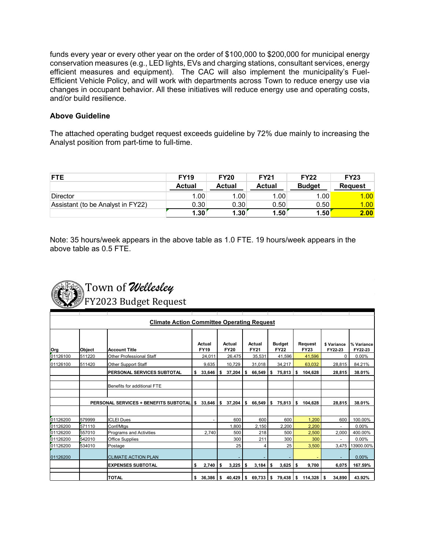funds every year or every other year on the order of \$100,000 to \$200,000 for municipal energy conservation measures (e.g., LED lights, EVs and charging stations, consultant services, energy efficient measures and equipment). The CAC will also implement the municipality's Fuel-Efficient Vehicle Policy, and will work with departments across Town to reduce energy use via changes in occupant behavior. All these initiatives will reduce energy use and operating costs, and/or build resilience.

#### **Above Guideline**

The attached operating budget request exceeds guideline by 72% due mainly to increasing the Analyst position from part-time to full-time.

| <b>FTE</b>                        | <b>FY19</b> | <b>FY20</b> | <b>FY21</b> | <b>FY22</b>   | <b>FY23</b>       |
|-----------------------------------|-------------|-------------|-------------|---------------|-------------------|
|                                   | Actual      | Actual      | Actual      | <b>Budget</b> | <b>Request</b>    |
| <b>Director</b>                   | 1.00        | 1.00        | 1.00        | 1.00          | 1.00              |
| Assistant (to be Analyst in FY22) | 0.30        | 0.30        | 0.50        | 0.50          | 1.00 <sub>1</sub> |
|                                   | 1.30        | 1.30        | 1.50        | 1.50          | 2.00              |

Note: 35 hours/week appears in the above table as 1.0 FTE. 19 hours/week appears in the above table as 0.5 FTE.



|          |        | <b>Climate Action Committee Operating Request</b> |                       |       |                       |                       |                              |    |                        |                        |                       |
|----------|--------|---------------------------------------------------|-----------------------|-------|-----------------------|-----------------------|------------------------------|----|------------------------|------------------------|-----------------------|
| Org      | Object | <b>Account Title</b>                              | Actual<br><b>FY19</b> |       | Actual<br><b>FY20</b> | Actual<br><b>FY21</b> | <b>Budget</b><br><b>FY22</b> |    | Request<br><b>FY23</b> | \$ Variance<br>FY22-23 | % Variance<br>FY22-23 |
| 01126100 | 511220 | Other Professional Staff                          | 24.011                |       | 26,475                | 35,531                | 41,596                       |    | 41,596                 | 0                      | 0.00%                 |
| 01126100 | 511420 | <b>Other Support Staff</b>                        |                       | 9,635 | 10,729                | 31,018                | 34,217                       |    | 63,032                 | 28,815                 | 84.21%                |
|          |        | PERSONAL SERVICES SUBTOTAL                        | 33,646<br>\$          |       | \$<br>37,204          | \$<br>66,549          | \$<br>75,813                 | \$ | 104,628                | 28,815                 | 38.01%                |
|          |        | Benefits for additional FTE                       |                       |       |                       |                       |                              |    |                        |                        |                       |
|          |        | PERSONAL SERVICES + BENEFITS SUBTOTAL             | 33,646                |       | \$<br>37,204          | \$<br>66,549          | \$<br>75,813                 | S  | 104,628                | 28,815                 | 38.01%                |
| 01126200 | 579999 | <b>ICLEI Dues</b>                                 |                       |       | 600                   | 600                   | 600                          |    | 1,200                  | 600                    | 100.00%               |
| 01126200 | 571110 | Conf/Mtgs                                         |                       |       | 1,800                 | 2,150                 | 2,200                        |    | 2,200                  |                        | 0.00%                 |
| 01126200 | 557010 | Programs and Activities                           |                       | 2.740 | 500                   | 218                   | 500                          |    | 2,500                  | 2,000                  | 400.00%               |
| 01126200 | 542010 | <b>Office Supplies</b>                            |                       |       | 300                   | 211                   | 300                          |    | 300                    |                        | 0.00%                 |
| 01126200 | 534010 | Postage                                           |                       |       | 25                    | 4                     | 25                           |    | 3,500                  | 3,475                  | 3900.00%              |
| 01126200 |        | <b>CLIMATE ACTION PLAN</b>                        |                       |       |                       |                       |                              |    |                        |                        | 0.00%                 |
|          |        | <b>EXPENSES SUBTOTAL</b>                          | \$                    | 2,740 | \$<br>3,225           | \$<br>3,184           | \$<br>3,625                  | \$ | 9,700                  | 6,075                  | 167.59%               |
|          |        | <b>TOTAL</b>                                      | 36,386<br>\$          |       | \$<br>40,429          | \$<br>69,733          | \$<br>79,438                 | s  | 114,328                | 34,890<br>\$           | 43.92%                |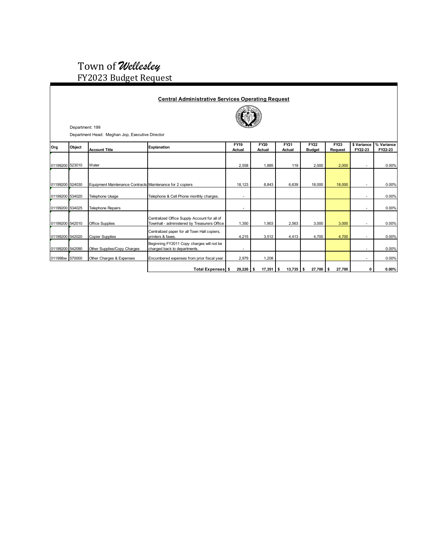# Town of *Wellesley* FY2023 Budget Request

|                 | Department: 199 | Department Head: Meghan Jop, Executive Director           | <b>Central Administrative Services Operating Request</b>                                     |                       |                       |                       |                              |                        |                          |                       |
|-----------------|-----------------|-----------------------------------------------------------|----------------------------------------------------------------------------------------------|-----------------------|-----------------------|-----------------------|------------------------------|------------------------|--------------------------|-----------------------|
| Org             | Object          | <b>Account Title</b>                                      | Explanation                                                                                  | <b>FY19</b><br>Actual | <b>FY20</b><br>Actual | <b>FY21</b><br>Actual | <b>FY22</b><br><b>Budget</b> | <b>FY23</b><br>Request | \$ Variance<br>FY22-23   | % Variance<br>FY22-23 |
| 01199200 523010 |                 | Water                                                     |                                                                                              | 2,558                 | 1,885                 | 119                   | 2,000                        | 2,000                  | ٠                        | 0.00%                 |
| 01199200 524030 |                 | Equipment Maintenance Contracts Maintenance for 2 copiers |                                                                                              | 18,123                | 8,843                 | 6,639                 | 18,000                       | 18,000                 | ٠                        | 0.00%                 |
| 01199200 534020 |                 | <b>Telephone Usage</b>                                    | Telephone & Cell Phone monthly charges.                                                      | ٠                     |                       |                       |                              |                        | ٠                        | 0.00%                 |
| 01199200 534025 |                 | Telephone Repairs                                         |                                                                                              |                       |                       |                       |                              |                        | ۰                        | 0.00%                 |
| 01199200 542010 |                 | <b>Office Supplies</b>                                    | Centralized Office Supply Account for all of<br>Townhall - administered by Treasurers Office | 1,350                 | 1,903                 | 2,563                 | 3,000                        | 3,000                  | ٠                        | 0.00%                 |
| 01199200 542020 |                 | <b>Copier Supplies</b>                                    | Centralized paper for all Town Hall copiers,<br>printers & faxes.                            | 4,215                 | 3,512                 | 4,413                 | 4,700                        | 4,700                  | $\blacksquare$           | 0.00%                 |
| 01199200 542090 |                 | Other Supplies/Copy Charges                               | Beginning FY2011 Copy charges will not be<br>charged back to departments.                    | ٠                     |                       |                       |                              |                        | $\overline{\phantom{a}}$ | 0.00%                 |
| 011998xx 570000 |                 | Other Charges & Expenses                                  | Encumbered expenses from prior fiscal year                                                   | 2,979                 | 1,208                 |                       |                              |                        | $\blacksquare$           | 0.00%                 |
|                 |                 |                                                           | Total Expenses \$                                                                            | $29,226$ \$           | 17,351                | $13,735$ \$<br>s.     | 27,700                       | 27,700<br>\$           | 0                        | $0.00\%$              |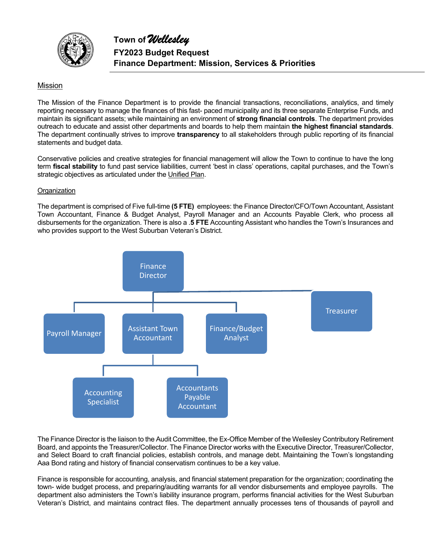

#### Mission

The Mission of the Finance Department is to provide the financial transactions, reconciliations, analytics, and timely reporting necessary to manage the finances of this fast- paced municipality and its three separate Enterprise Funds, and maintain its significant assets; while maintaining an environment of **strong financial controls**. The department provides outreach to educate and assist other departments and boards to help them maintain **the highest financial standards**. The department continually strives to improve **transparency** to all stakeholders through public reporting of its financial statements and budget data.

Conservative policies and creative strategies for financial management will allow the Town to continue to have the long term **fiscal stability** to fund past service liabilities, current 'best in class' operations, capital purchases, and the Town's strategic objectives as articulated under the Unified Plan.

#### **Organization**

The department is comprised of Five full-time **(5 FTE)** employees: the Finance Director/CFO/Town Accountant, Assistant Town Accountant, Finance & Budget Analyst, Payroll Manager and an Accounts Payable Clerk, who process all disbursements for the organization. There is also a .**5 FTE** Accounting Assistant who handles the Town's Insurances and who provides support to the West Suburban Veteran's District.



The Finance Director is the liaison to the Audit Committee, the Ex-Office Member of the Wellesley Contributory Retirement Board, and appoints the Treasurer/Collector. The Finance Director works with the Executive Director, Treasurer/Collector, and Select Board to craft financial policies, establish controls, and manage debt. Maintaining the Town's longstanding Aaa Bond rating and history of financial conservatism continues to be a key value.

Finance is responsible for accounting, analysis, and financial statement preparation for the organization; coordinating the town- wide budget process, and preparing/auditing warrants for all vendor disbursements and employee payrolls. The department also administers the Town's liability insurance program, performs financial activities for the West Suburban Veteran's District, and maintains contract files. The department annually processes tens of thousands of payroll and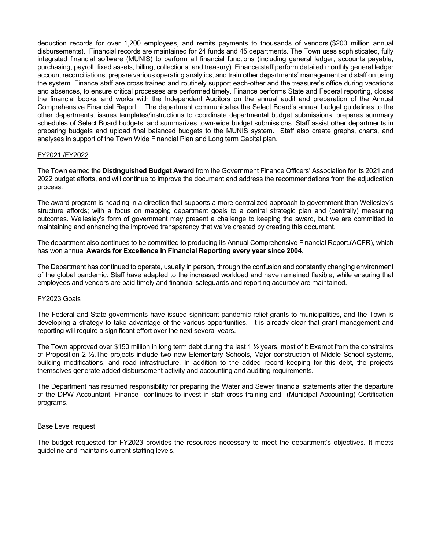deduction records for over 1,200 employees, and remits payments to thousands of vendors.(\$200 million annual disbursements). Financial records are maintained for 24 funds and 45 departments. The Town uses sophisticated, fully integrated financial software (MUNIS) to perform all financial functions (including general ledger, accounts payable, purchasing, payroll, fixed assets, billing, collections, and treasury). Finance staff perform detailed monthly general ledger account reconciliations, prepare various operating analytics, and train other departments' management and staff on using the system. Finance staff are cross trained and routinely support each-other and the treasurer's office during vacations and absences, to ensure critical processes are performed timely. Finance performs State and Federal reporting, closes the financial books, and works with the Independent Auditors on the annual audit and preparation of the Annual Comprehensive Financial Report. The department communicates the Select Board's annual budget guidelines to the other departments, issues templates/instructions to coordinate departmental budget submissions, prepares summary schedules of Select Board budgets, and summarizes town-wide budget submissions. Staff assist other departments in preparing budgets and upload final balanced budgets to the MUNIS system. Staff also create graphs, charts, and analyses in support of the Town Wide Financial Plan and Long term Capital plan.

#### FY2021 /FY2022

The Town earned the **Distinguished Budget Award** from the Government Finance Officers' Association for its 2021 and 2022 budget efforts, and will continue to improve the document and address the recommendations from the adjudication process.

The award program is heading in a direction that supports a more centralized approach to government than Wellesley's structure affords; with a focus on mapping department goals to a central strategic plan and (centrally) measuring outcomes. Wellesley's form of government may present a challenge to keeping the award, but we are committed to maintaining and enhancing the improved transparency that we've created by creating this document.

The department also continues to be committed to producing its Annual Comprehensive Financial Report.(ACFR), which has won annual **Awards for Excellence in Financial Reporting every year since 2004**.

The Department has continued to operate, usually in person, through the confusion and constantly changing environment of the global pandemic. Staff have adapted to the increased workload and have remained flexible, while ensuring that employees and vendors are paid timely and financial safeguards and reporting accuracy are maintained.

#### FY2023 Goals

The Federal and State governments have issued significant pandemic relief grants to municipalities, and the Town is developing a strategy to take advantage of the various opportunities. It is already clear that grant management and reporting will require a significant effort over the next several years.

The Town approved over \$150 million in long term debt during the last 1  $\frac{1}{2}$  years, most of it Exempt from the constraints of Proposition 2 ½.The projects include two new Elementary Schools, Major construction of Middle School systems, building modifications, and road infrastructure. In addition to the added record keeping for this debt, the projects themselves generate added disbursement activity and accounting and auditing requirements.

The Department has resumed responsibility for preparing the Water and Sewer financial statements after the departure of the DPW Accountant. Finance continues to invest in staff cross training and (Municipal Accounting) Certification programs.

#### Base Level request

The budget requested for FY2023 provides the resources necessary to meet the department's objectives. It meets guideline and maintains current staffing levels.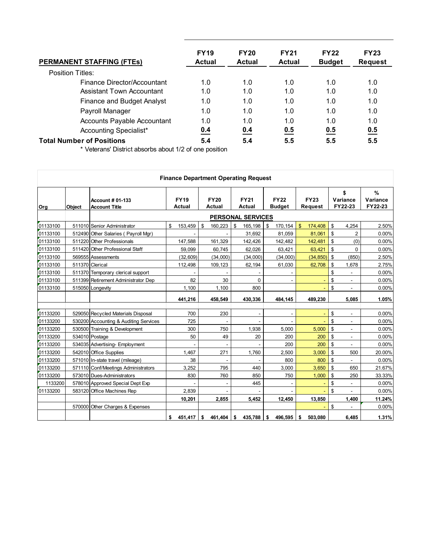| <b>PERMANENT STAFFING (FTES)</b>   | <b>FY19</b><br><b>Actual</b> | <b>FY20</b><br><b>Actual</b> | <b>FY21</b><br><b>Actual</b> | <b>FY22</b><br><b>Budget</b> | <b>FY23</b><br><b>Request</b> |
|------------------------------------|------------------------------|------------------------------|------------------------------|------------------------------|-------------------------------|
| Position Titles:                   |                              |                              |                              |                              |                               |
| Finance Director/Accountant        | 1.0                          | 1.0                          | 1.0                          | 1.0                          | 1.0                           |
| Assistant Town Accountant          | 1.0                          | 1.0                          | 1.0                          | 1.0                          | 1.0                           |
| <b>Finance and Budget Analyst</b>  | 1.0                          | 1.0                          | 1.0                          | 1.0                          | 1.0                           |
| Payroll Manager                    | 1.0                          | 1.0                          | 1.0                          | 1.0                          | 1.0                           |
| <b>Accounts Payable Accountant</b> | 1.0                          | 1.0                          | 1.0                          | 1.0                          | 1.0                           |
| Accounting Specialist*             | 0.4                          | 0.4                          | 0.5                          | 0.5                          | 0.5                           |
| <b>Total Number of Positions</b>   | 5.4                          | 5.4                          | 5.5                          | 5.5                          | 5.5                           |

\* Veterans' District absorbs about 1/2 of one position

|          | <b>Finance Department Operating Request</b> |                                                 |    |                              |                       |          |    |                              |    |                              |              |                               |    |                           |                          |  |
|----------|---------------------------------------------|-------------------------------------------------|----|------------------------------|-----------------------|----------|----|------------------------------|----|------------------------------|--------------|-------------------------------|----|---------------------------|--------------------------|--|
| Org      | Object                                      | <b>Account # 01-133</b><br><b>Account Title</b> |    | <b>FY19</b><br><b>Actual</b> | <b>FY20</b><br>Actual |          |    | <b>FY21</b><br><b>Actual</b> |    | <b>FY22</b><br><b>Budget</b> |              | <b>FY23</b><br><b>Request</b> |    | \$<br>Variance<br>FY22-23 | %<br>Variance<br>FY22-23 |  |
|          |                                             |                                                 |    |                              |                       |          |    | <b>PERSONAL SERVICES</b>     |    |                              |              |                               |    |                           |                          |  |
| 01133100 |                                             | 511010 Senior Administrator                     | \$ | 153,459                      | \$                    | 160,223  | \$ | 165,198                      | \$ | 170,154                      | $\mathbf{s}$ | 174,408                       | \$ | 4,254                     | 2.50%                    |  |
| 01133100 |                                             | 512490 Other Salaries (Payroll Mgr)             |    |                              |                       |          |    | 31.692                       |    | 81,059                       |              | 81,061                        | \$ | $\overline{2}$            | 0.00%                    |  |
| 01133100 |                                             | 511220 Other Professionals                      |    | 147,588                      |                       | 161,329  |    | 142,426                      |    | 142,482                      |              | 142,481                       | \$ | (0)                       | 0.00%                    |  |
| 01133100 |                                             | 511420 Other Professional Staff                 |    | 59.099                       |                       | 60.745   |    | 62,026                       |    | 63,421                       |              | 63,421                        | \$ | $\Omega$                  | 0.00%                    |  |
| 01133100 |                                             | 569555 Assessments                              |    | (32, 609)                    |                       | (34,000) |    | (34,000)                     |    | (34,000)                     |              | (34, 850)                     | \$ | (850)                     | 2.50%                    |  |
| 01133100 |                                             | 511370 Clerical                                 |    | 112,498                      |                       | 109,123  |    | 62,194                       |    | 61,030                       |              | 62,708                        | \$ | 1,678                     | 2.75%                    |  |
| 01133100 |                                             | 511370 Temporary clerical support               |    |                              |                       |          |    |                              |    |                              |              |                               | \$ |                           | 0.00%                    |  |
| 01133100 |                                             | 511399 Retirement Administrator Dep             |    | 82                           |                       | 30       |    | 0                            |    |                              |              |                               | \$ | ٠                         | 0.00%                    |  |
| 01133100 |                                             | 515050 Longevity                                |    | 1,100                        |                       | 1,100    |    | 800                          |    |                              |              |                               | \$ | $\blacksquare$            | 0.00%                    |  |
|          |                                             |                                                 |    | 441,216                      |                       | 458,549  |    | 430,336                      |    | 484,145                      |              | 489,230                       |    | 5.085                     | 1.05%                    |  |
|          |                                             |                                                 |    |                              |                       |          |    |                              |    |                              |              |                               |    |                           |                          |  |
| 01133200 |                                             | 529050 Recycled Materials Disposal              |    | 700                          |                       | 230      |    | $\blacksquare$               |    | $\blacksquare$               |              |                               | \$ | $\blacksquare$            | 0.00%                    |  |
| 01133200 |                                             | 530200 Accounting & Auditing Services           |    | 725                          |                       |          |    |                              |    |                              |              |                               | \$ |                           | 0.00%                    |  |
| 01133200 |                                             | 530500 Training & Development                   |    | 300                          |                       | 750      |    | 1,938                        |    | 5,000                        |              | 5,000                         | \$ |                           | 0.00%                    |  |
| 01133200 |                                             | 534010 Postage                                  |    | 50                           |                       | 49       |    | 20                           |    | 200                          |              | 200                           | \$ | $\overline{\phantom{a}}$  | 0.00%                    |  |
| 01133200 |                                             | 534035 Advertising- Employment                  |    |                              |                       |          |    |                              |    | 200                          |              | 200                           | \$ |                           | 0.00%                    |  |
| 01133200 |                                             | 542010 Office Supplies                          |    | 1.467                        |                       | 271      |    | 1,760                        |    | 2,500                        |              | 3,000                         | \$ | 500                       | 20.00%                   |  |
| 01133200 |                                             | 571010 In-state travel (mileage)                |    | 38                           |                       |          |    |                              |    | 800                          |              | 800                           | \$ |                           | 0.00%                    |  |
| 01133200 |                                             | 571110 Conf/Meetings Administrators             |    | 3,252                        |                       | 795      |    | 440                          |    | 3,000                        |              | 3,650                         | \$ | 650                       | 21.67%                   |  |
| 01133200 |                                             | 573010 Dues-Administrators                      |    | 830                          |                       | 760      |    | 850                          |    | 750                          |              | 1,000                         | \$ | 250                       | 33.33%                   |  |
| 1133200  |                                             | 578010 Approved Special Dept Exp                |    |                              |                       |          |    | 445                          |    |                              |              |                               | \$ |                           | 0.00%                    |  |
| 01133200 |                                             | 583120 Office Machines Rep                      |    | 2,839                        |                       |          |    |                              |    |                              |              |                               | \$ |                           | 0.00%                    |  |
|          |                                             |                                                 |    | 10,201                       |                       | 2,855    |    | 5,452                        |    | 12,450                       |              | 13,850                        |    | 1,400                     | 11.24%                   |  |
|          |                                             | 570000 Other Charges & Expenses                 |    |                              |                       |          |    |                              |    |                              |              |                               | \$ |                           | 0.00%                    |  |
|          |                                             |                                                 |    | \$ 451,417                   | \$                    | 461,404  | \$ | 435,788                      | \$ | 496,595                      | \$           | 503,080                       |    | 6,485                     | 1.31%                    |  |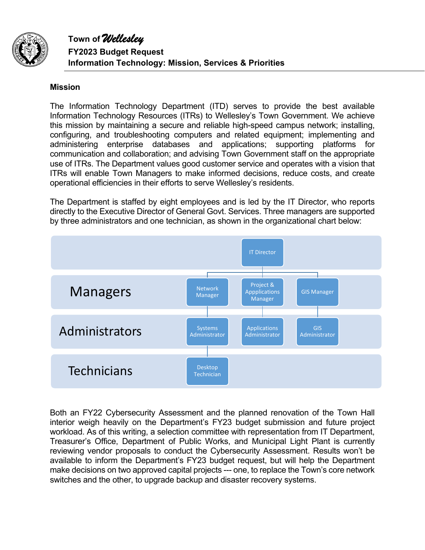

# **Mission**

The Information Technology Department (ITD) serves to provide the best available Information Technology Resources (ITRs) to Wellesley's Town Government. We achieve this mission by maintaining a secure and reliable high-speed campus network; installing, configuring, and troubleshooting computers and related equipment; implementing and administering enterprise databases and applications; supporting platforms for communication and collaboration; and advising Town Government staff on the appropriate use of ITRs. The Department values good customer service and operates with a vision that ITRs will enable Town Managers to make informed decisions, reduce costs, and create operational efficiencies in their efforts to serve Wellesley's residents.

The Department is staffed by eight employees and is led by the IT Director, who reports directly to the Executive Director of General Govt. Services. Three managers are supported by three administrators and one technician, as shown in the organizational chart below:



Both an FY22 Cybersecurity Assessment and the planned renovation of the Town Hall interior weigh heavily on the Department's FY23 budget submission and future project workload. As of this writing, a selection committee with representation from IT Department, Treasurer's Office, Department of Public Works, and Municipal Light Plant is currently reviewing vendor proposals to conduct the Cybersecurity Assessment. Results won't be available to inform the Department's FY23 budget request, but will help the Department make decisions on two approved capital projects --- one, to replace the Town's core network switches and the other, to upgrade backup and disaster recovery systems.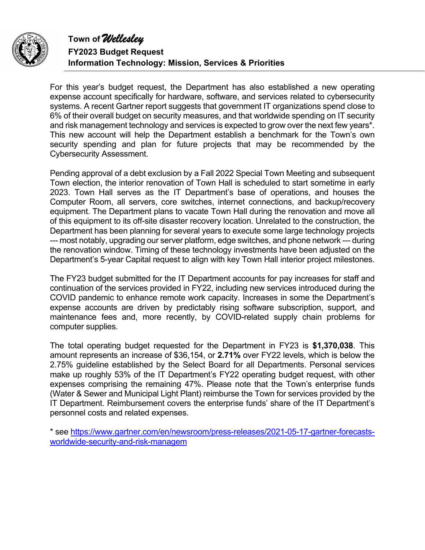

**Town of** *Wellesley* **FY2023 Budget Request Information Technology: Mission, Services & Priorities** 

For this year's budget request, the Department has also established a new operating expense account specifically for hardware, software, and services related to cybersecurity systems. A recent Gartner report suggests that government IT organizations spend close to 6% of their overall budget on security measures, and that worldwide spending on IT security and risk management technology and services is expected to grow over the next few years\*. This new account will help the Department establish a benchmark for the Town's own security spending and plan for future projects that may be recommended by the Cybersecurity Assessment.

Pending approval of a debt exclusion by a Fall 2022 Special Town Meeting and subsequent Town election, the interior renovation of Town Hall is scheduled to start sometime in early 2023. Town Hall serves as the IT Department's base of operations, and houses the Computer Room, all servers, core switches, internet connections, and backup/recovery equipment. The Department plans to vacate Town Hall during the renovation and move all of this equipment to its off-site disaster recovery location. Unrelated to the construction, the Department has been planning for several years to execute some large technology projects --- most notably, upgrading our server platform, edge switches, and phone network --- during the renovation window. Timing of these technology investments have been adjusted on the Department's 5-year Capital request to align with key Town Hall interior project milestones.

The FY23 budget submitted for the IT Department accounts for pay increases for staff and continuation of the services provided in FY22, including new services introduced during the COVID pandemic to enhance remote work capacity. Increases in some the Department's expense accounts are driven by predictably rising software subscription, support, and maintenance fees and, more recently, by COVID-related supply chain problems for computer supplies.

The total operating budget requested for the Department in FY23 is **\$1,370,038**. This amount represents an increase of \$36,154, or **2.71%** over FY22 levels, which is below the 2.75% guideline established by the Select Board for all Departments. Personal services make up roughly 53% of the IT Department's FY22 operating budget request, with other expenses comprising the remaining 47%. Please note that the Town's enterprise funds (Water & Sewer and Municipal Light Plant) reimburse the Town for services provided by the IT Department. Reimbursement covers the enterprise funds' share of the IT Department's personnel costs and related expenses.

\* see https://www.gartner.com/en/newsroom/press-releases/2021-05-17-gartner-forecastsworldwide-security-and-risk-managem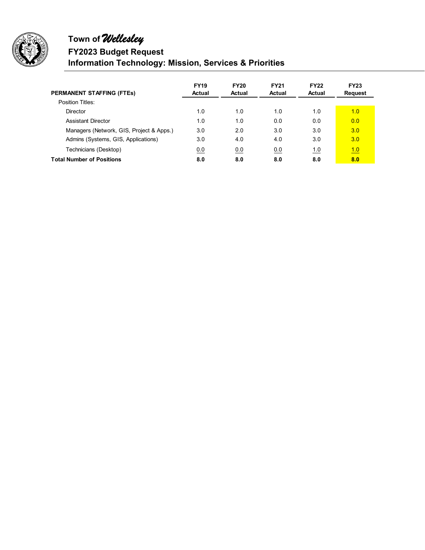

# **Town of** *Wellesley*

**FY2023 Budget Request** 

**Information Technology: Mission, Services & Priorities** 

| <b>PERMANENT STAFFING (FTES)</b><br>Position Titles: | <b>FY19</b><br>Actual | <b>FY20</b><br><b>Actual</b> | <b>FY21</b><br>Actual | <b>FY22</b><br><b>Actual</b> | <b>FY23</b><br><b>Request</b> |
|------------------------------------------------------|-----------------------|------------------------------|-----------------------|------------------------------|-------------------------------|
| <b>Director</b>                                      | 1.0                   | 1.0                          | 1.0                   | 1.0                          | 1.0                           |
| <b>Assistant Director</b>                            | 1.0                   | 1.0                          | 0.0                   | 0.0                          | 0.0                           |
| Managers (Network, GIS, Project & Apps.)             | 3.0                   | 2.0                          | 3.0                   | 3.0                          | 3.0                           |
| Admins (Systems, GIS, Applications)                  | 3.0                   | 4.0                          | 4.0                   | 3.0                          | 3.0                           |
| Technicians (Desktop)                                | 0.0                   | 0.0                          | 0.0                   | 1.0                          | $\underline{1.0}$             |
| <b>Total Number of Positions</b>                     | 8.0                   | 8.0                          | 8.0                   | 8.0                          | 8.0                           |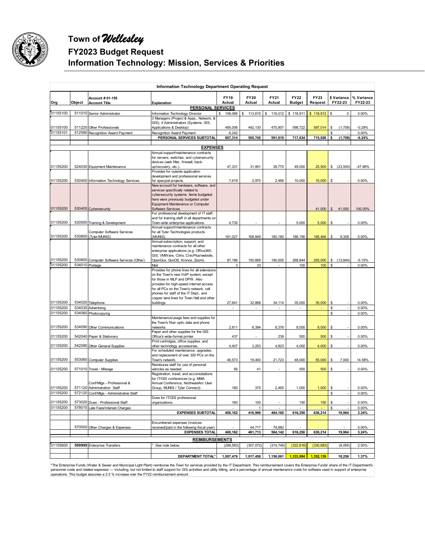

# **Town of** *Wellesley* **FY2023 Budget Request Information Technology: Mission, Services & Priorities**

|                      |        |                                                                       | Information Technology Department Operating Request                                                                                                                                                                                                 |                                 |                       |                |                              |                 |                        |                       |
|----------------------|--------|-----------------------------------------------------------------------|-----------------------------------------------------------------------------------------------------------------------------------------------------------------------------------------------------------------------------------------------------|---------------------------------|-----------------------|----------------|------------------------------|-----------------|------------------------|-----------------------|
| Org                  | Object | Account # 01-155<br><b>Account Title</b>                              | Explanation                                                                                                                                                                                                                                         | <b>FY19</b><br>Actual           | <b>FY20</b><br>Actual | FY21<br>Actual | <b>FY22</b><br><b>Budget</b> | FY23<br>Request | \$ Variance<br>FY22-23 | % Variance<br>FY22-23 |
|                      |        |                                                                       | PERSONAL SERVICES                                                                                                                                                                                                                                   |                                 |                       |                |                              |                 |                        |                       |
| 01155100             |        | 511010 Senior Administrator                                           | Information Technology Director                                                                                                                                                                                                                     | \$106,066                       | \$<br>113,615         | 116,012<br>\$  | \$118,911                    | \$118,912       | $\pmb{0}$<br>S         | 0.00%                 |
| 01155100             |        | 511220 Other Professionals                                            | 3 Managers (Project & Apps., Network, &<br>GIS); 4 Administrators (Systems, GIS,<br>Applications & Desktop)                                                                                                                                         | 495,006                         | 442,130               | 475,907        | 598,722                      | 597,014         | \$<br>(1,708)          | $-0.29%$              |
| 01155101             |        | 512590 Recognition Award Payment                                      | Recognition Award Payment                                                                                                                                                                                                                           | 6,242                           |                       |                |                              |                 |                        | 0.00%                 |
|                      |        |                                                                       | PERSONAL SERVICES SUBTOTAL                                                                                                                                                                                                                          | 607,314                         | 555,745               | 591,919        | 717,634                      | 715,926         | \$<br>(1,708)          | $-0.24%$              |
|                      |        |                                                                       |                                                                                                                                                                                                                                                     |                                 |                       |                |                              |                 |                        |                       |
|                      |        |                                                                       | <b>EXPENSES</b><br>Annual support/maintenance contracts                                                                                                                                                                                             |                                 |                       |                |                              |                 |                        |                       |
|                      |        |                                                                       | for servers, switches, and cybersecurity                                                                                                                                                                                                            |                                 |                       |                |                              |                 |                        |                       |
|                      |        |                                                                       | devices (web filter, firewall, back-                                                                                                                                                                                                                |                                 |                       |                |                              |                 |                        |                       |
| 01155200             |        | 524030 Equipment Maintenance                                          | up/recovery, etc.).                                                                                                                                                                                                                                 | 47,331                          | 31,951                | 39,770         | 49,000                       | 25,500          | \$ (23,500)            | -47.96%               |
|                      |        |                                                                       | Provides for outside application<br>development and professional services                                                                                                                                                                           |                                 |                       |                |                              |                 |                        |                       |
| 01155200             |        | 530400 Information Technology Services                                | for specpial projects.                                                                                                                                                                                                                              | 7,619                           | 2,970                 | 2,466          | 10,000                       | 10,000          | S                      | 0.00%                 |
|                      |        |                                                                       | New account for hardware, software, and                                                                                                                                                                                                             |                                 |                       |                |                              |                 |                        |                       |
|                      |        |                                                                       | services specifically related to<br>cybersecurity systems. Items budgeted                                                                                                                                                                           |                                 |                       |                |                              |                 |                        |                       |
|                      |        |                                                                       | here were previously budgeted under                                                                                                                                                                                                                 |                                 |                       |                |                              |                 |                        |                       |
|                      |        |                                                                       | Equipment Maintenance or Computer                                                                                                                                                                                                                   |                                 |                       |                |                              |                 |                        |                       |
| 01155200             |        | 530405 Cybersecurity                                                  | Software Services.                                                                                                                                                                                                                                  |                                 |                       |                |                              |                 | 41,000 \$41,000        | 100.00%               |
|                      |        |                                                                       | For professional development of IT staff,<br>and for training staff in all departments on                                                                                                                                                           |                                 |                       |                |                              |                 |                        |                       |
| 01155200             |        | 530500 Training & Development                                         | Town-wide enterprise applications.                                                                                                                                                                                                                  | 4,730                           |                       |                | 5,000                        | 5,000           | S                      | 0.00%                 |
|                      |        |                                                                       | Annual support/maintenance contracts                                                                                                                                                                                                                |                                 |                       |                |                              |                 |                        |                       |
| 01155200             |        | Computer Software Services<br>530800 (Tyler/MUNIS)                    | for all Tyler Technologies products<br>(MUNIS)                                                                                                                                                                                                      | 161,027                         | 168,849               | 180,180        | 186.156                      | 195,464         | 9,308<br>\$            | 5.00%                 |
|                      |        |                                                                       | Annual subscription, support, and                                                                                                                                                                                                                   |                                 |                       |                |                              |                 |                        |                       |
|                      |        |                                                                       | maintenance contracts for all other                                                                                                                                                                                                                 |                                 |                       |                |                              |                 |                        |                       |
|                      |        |                                                                       | enterprise applications (e.g. Office365,                                                                                                                                                                                                            |                                 |                       |                |                              |                 |                        |                       |
| 01155200             |        | 530800 Computer Software Services (Other)                             | GIS, VMWare, Citrix, CivicPlus/website,<br>OpenGov, GovOS, Kronos, Zoom)                                                                                                                                                                            | 97,186                          | 150,669               | 190,005        | 268,844                      | 255,000         | \$ (13, 844)           | $-5.15%$              |
| 01155200             |        | 534010 Postage                                                        | Mail                                                                                                                                                                                                                                                | 3                               | 33                    |                | 100                          | 100             | \$                     | 0.00%                 |
|                      |        |                                                                       | Provides for phone lines for all extensions                                                                                                                                                                                                         |                                 |                       |                |                              |                 |                        |                       |
| 01155200             |        | 534020 Telephone                                                      | on the Town's new VoIP system, except<br>for those in MLP and DPW. Also<br>provides for high-speed internet access<br>for all PCs on the Town's network, cell<br>phones for staff of the IT Dept., and<br>copper land lines for Town Hall and other |                                 |                       |                |                              |                 |                        | 0.00%                 |
| 01155200             |        | 534035 Advertising                                                    | buildings.                                                                                                                                                                                                                                          | 27,641                          | 32,868<br>÷,          | 34,114         | 35,000<br>÷,                 | 35,000          | \$<br>\$<br>÷,         | 0.00%                 |
| 01155200             |        | 534060 Photocopying                                                   |                                                                                                                                                                                                                                                     |                                 |                       |                |                              |                 | \$                     | 0.00%                 |
| 01155200             |        | 534090 Other Communications                                           | Maintenance/usage fees and supplies for<br>the Town's fiber optic data and phone<br>networks.                                                                                                                                                       | 2,811                           | 6,394                 | 8,376          | 8,000                        | 8,000           | \$                     | 0.00%                 |
|                      |        |                                                                       | Paper and other supplies for the GIS                                                                                                                                                                                                                |                                 |                       |                |                              |                 |                        |                       |
| 01155200             |        | 542040 Paper & Stationary                                             | Office's wide-format printer.<br>Print cartridges, office supplies, and                                                                                                                                                                             | 437                             |                       | 239            | 500                          | 500             | \$                     | 0.00%                 |
| 01155200             |        | 542090 Other General Supplies                                         | other technology accessories.                                                                                                                                                                                                                       | 4,407                           | 3,253                 | 4,823          | 4,000                        | 4,000           | \$                     | 0.00%                 |
|                      |        |                                                                       | For scheduled maintenance, upgrades,                                                                                                                                                                                                                |                                 |                       |                |                              |                 |                        |                       |
| 01155200             |        | 553060 Computer Supplies                                              | and replacement of over 300 PCs on the<br>Town's network.                                                                                                                                                                                           | 46,573                          | 19,493                | 21,723         | 48,000                       | 55,000          | 7,000<br>\$            | 14.58%                |
|                      |        |                                                                       | Reimburse staff for use of personal                                                                                                                                                                                                                 |                                 |                       |                |                              |                 |                        |                       |
| 01155200             |        | 571010 Travel - Mileage                                               | vehicles as needed.                                                                                                                                                                                                                                 | 56                              | 41                    |                | 500                          | 500             | \$                     | 0.00%                 |
|                      |        |                                                                       | Registration, travel, and accomodations                                                                                                                                                                                                             |                                 |                       |                |                              |                 |                        |                       |
|                      |        | Conf/Mtgs - Professional &                                            | for IT/GIS conferences (e.g. MMA<br>Annual Conference, NortheastArc User                                                                                                                                                                            |                                 |                       |                |                              |                 |                        |                       |
| 01155200             |        | 571120 Administration Staff                                           | Group, MUNIS / Tyler Connect).                                                                                                                                                                                                                      | 180                             | 375                   | 2,465          | 1,000                        | 1,000           | \$                     | 0.00%                 |
| 01155200             |        | 572120 Conf/Mtgs - Administrative Staff                               |                                                                                                                                                                                                                                                     |                                 |                       |                |                              |                 |                        | 0.00%                 |
|                      |        |                                                                       | Dues for IT/GIS professional                                                                                                                                                                                                                        |                                 |                       |                |                              |                 |                        |                       |
| 01155200<br>01155200 |        | 573020 Dues - Professional Staff<br>578015 Late Fees/Interest Charges | organizations.                                                                                                                                                                                                                                      | 160<br>$\overline{\phantom{a}}$ | 100<br>$\mathbf{1}$   | $\sim$         | 150                          | 150             | \$<br>S                | 0.00%<br>0.00%        |
|                      |        |                                                                       | <b>EXPENSES SUBTOTAL</b>                                                                                                                                                                                                                            | 400,162                         | 416,996               | 484,160        | 616,250                      | 636,214         | 19,964                 | 3.24%                 |
|                      |        |                                                                       |                                                                                                                                                                                                                                                     |                                 |                       |                |                              |                 |                        |                       |
|                      |        |                                                                       | Encumbered expenses (invoices                                                                                                                                                                                                                       |                                 |                       |                |                              |                 |                        |                       |
|                      |        | 570000 Other Charges & Expenses                                       | eceived/paid in the following fiscal year)                                                                                                                                                                                                          |                                 | 44,717                | 79,982         |                              |                 |                        | 0.00%                 |
|                      |        |                                                                       | <b>EXPENSES TOTAL</b>                                                                                                                                                                                                                               | 400,162                         | 461,713               | 564,142        | 616,250                      | 636,214         | 19,964                 | 3.24%                 |
|                      |        |                                                                       | <b>REIMBURSEMENTS</b>                                                                                                                                                                                                                               |                                 |                       |                |                              |                 |                        |                       |
| 01155600             |        | 599999 Enterprise Transfers                                           | See note below.                                                                                                                                                                                                                                     | (299, 583)                      | (307, 072)            | (314, 749)     | (322, 618)                   | (330, 683)      | (8,065)                | 2.50%                 |
|                      |        |                                                                       |                                                                                                                                                                                                                                                     |                                 |                       |                |                              |                 |                        |                       |
|                      |        |                                                                       | DEPARTMENT TOTAL*                                                                                                                                                                                                                                   | 1,007,476                       | 1,017,458             | 1,156,061      | 1,333,884                    | 1,352,139       | 18,256                 | 1.37%                 |

\*The Enterprise Funds (Water & Sewer and Municipal Light Plant) reimburse the Town for services provided by the IT Department. This reimbursement covers the Enterprise Funds' share of the IT Department's<br>personnel costs an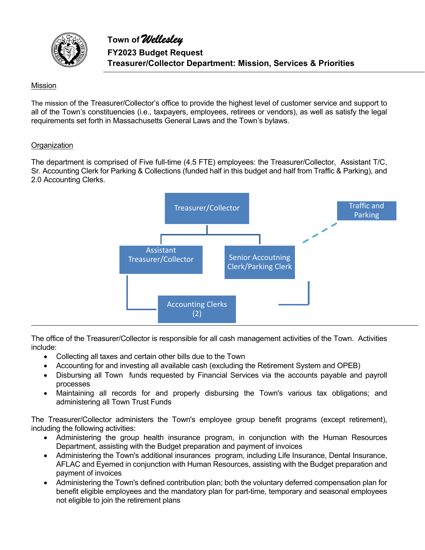

# Mission

The mission of the Treasurer/Collector's office to provide the highest level of customer service and support to all of the Town's constituencies (i.e., taxpayers, employees, retirees or vendors), as well as satisfy the legal requirements set forth in Massachusetts General Laws and the Town's bylaws.

#### **Organization**

The department is comprised of Five full-time (4.5 FTE) employees: the Treasurer/Collector, Assistant T/C, Sr. Accounting Clerk for Parking & Collections (funded half in this budget and half from Traffic & Parking), and 2.0 Accounting Clerks.



The office of the Treasurer/Collector is responsible for all cash management activities of the Town. Activities include:

- Collecting all taxes and certain other bills due to the Town
- Accounting for and investing all available cash (excluding the Retirement System and OPEB)
- Disbursing all Town funds requested by Financial Services via the accounts payable and payroll processes
- Maintaining all records for and properly disbursing the Town's various tax obligations; and administering all Town Trust Funds

The Treasurer/Collector administers the Town's employee group benefit programs (except retirement), including the following activities:

- Administering the group health insurance program, in conjunction with the Human Resources Department, assisting with the Budget preparation and payment of invoices
- Administering the Town's additional insurances program, including Life Insurance, Dental Insurance, AFLAC and Eyemed in conjunction with Human Resources, assisting with the Budget preparation and payment of invoices
- Administering the Town's defined contribution plan; both the voluntary deferred compensation plan for benefit eligible employees and the mandatory plan for part-time, temporary and seasonal employees not eligible to join the retirement plans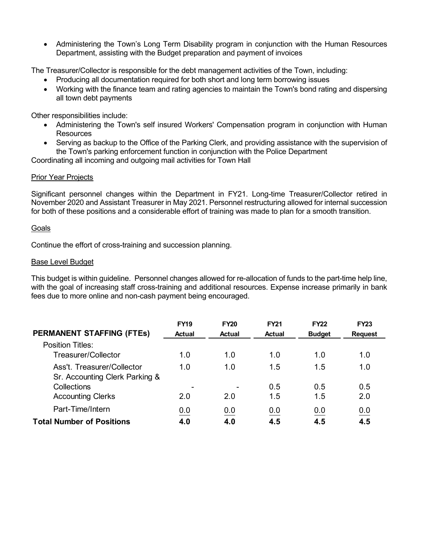Administering the Town's Long Term Disability program in conjunction with the Human Resources Department, assisting with the Budget preparation and payment of invoices

The Treasurer/Collector is responsible for the debt management activities of the Town, including:

- Producing all documentation required for both short and long term borrowing issues
- Working with the finance team and rating agencies to maintain the Town's bond rating and dispersing all town debt payments

Other responsibilities include:

- Administering the Town's self insured Workers' Compensation program in conjunction with Human **Resources**
- Serving as backup to the Office of the Parking Clerk, and providing assistance with the supervision of the Town's parking enforcement function in conjunction with the Police Department

Coordinating all incoming and outgoing mail activities for Town Hall

#### Prior Year Projects

Significant personnel changes within the Department in FY21. Long-time Treasurer/Collector retired in November 2020 and Assistant Treasurer in May 2021. Personnel restructuring allowed for internal succession for both of these positions and a considerable effort of training was made to plan for a smooth transition.

#### **Goals**

Continue the effort of cross-training and succession planning.

#### Base Level Budget

This budget is within guideline. Personnel changes allowed for re-allocation of funds to the part-time help line, with the goal of increasing staff cross-training and additional resources. Expense increase primarily in bank fees due to more online and non-cash payment being encouraged.

|                                  | <b>FY19</b>   | <b>FY20</b>   | <b>FY21</b>   | <b>FY22</b>   | <b>FY23</b>    |
|----------------------------------|---------------|---------------|---------------|---------------|----------------|
| <b>PERMANENT STAFFING (FTES)</b> | <b>Actual</b> | <b>Actual</b> | <b>Actual</b> | <b>Budget</b> | <b>Request</b> |
| <b>Position Titles:</b>          |               |               |               |               |                |
| Treasurer/Collector              | 1.0           | 1.0           | 1.0           | 1.0           | 1.0            |
| Ass't. Treasurer/Collector       | 1.0           | 1.0           | 1.5           | 1.5           | 1.0            |
| Sr. Accounting Clerk Parking &   |               |               |               |               |                |
| Collections                      |               | ۰             | 0.5           | 0.5           | 0.5            |
| <b>Accounting Clerks</b>         | 2.0           | 2.0           | 1.5           | 1.5           | 2.0            |
| Part-Time/Intern                 | 0.0           | 0.0           | 0.0           | 0.0           | 0.0            |
| <b>Total Number of Positions</b> | 4.0           | 4.0           | 4.5           | 4.5           | 4.5            |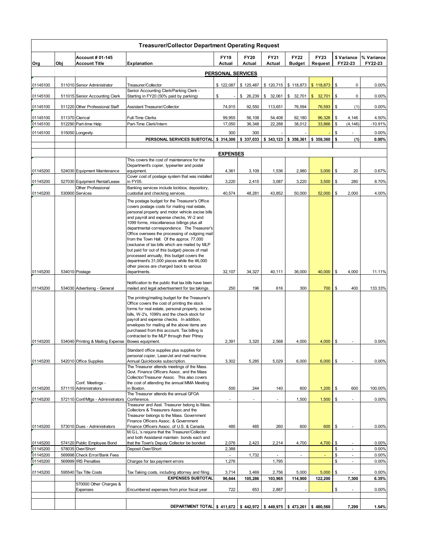|          |     |                                                      | <b>Treasurer/Collector Department Operating Request</b>                                                                                                                                                                                                                                                                                                                                                                                                                                                                                                                                                                                     |                   |                       |                  |                              |                 |                        |                       |
|----------|-----|------------------------------------------------------|---------------------------------------------------------------------------------------------------------------------------------------------------------------------------------------------------------------------------------------------------------------------------------------------------------------------------------------------------------------------------------------------------------------------------------------------------------------------------------------------------------------------------------------------------------------------------------------------------------------------------------------------|-------------------|-----------------------|------------------|------------------------------|-----------------|------------------------|-----------------------|
| Org      | Obj | <b>Account # 01-145</b><br><b>Account Title</b>      | <b>Explanation</b>                                                                                                                                                                                                                                                                                                                                                                                                                                                                                                                                                                                                                          | FY19<br>Actual    | <b>FY20</b><br>Actual | FY21<br>Actual   | <b>FY22</b><br><b>Budget</b> | FY23<br>Request | \$ Variance<br>FY22-23 | % Variance<br>FY22-23 |
|          |     |                                                      |                                                                                                                                                                                                                                                                                                                                                                                                                                                                                                                                                                                                                                             | PERSONAL SERVICES |                       |                  |                              |                 |                        |                       |
|          |     |                                                      |                                                                                                                                                                                                                                                                                                                                                                                                                                                                                                                                                                                                                                             |                   |                       |                  |                              |                 |                        |                       |
| 01145100 |     | 511010 Senior Administrator                          | Treasurer/Collector<br>Senior Accounting Clerk/Parking Clerk -                                                                                                                                                                                                                                                                                                                                                                                                                                                                                                                                                                              | \$122,087         | \$125,487             | \$120,715        | \$118,873                    | \$118,873       | \$<br>0                | 0.00%                 |
| 01145100 |     | 511015 Senior Accounting Clerk                       | Starting in FY20 (50% paid by parking)                                                                                                                                                                                                                                                                                                                                                                                                                                                                                                                                                                                                      | \$                | \$26,239              | \$32,061         | \$32,701                     | \$32,701        | \$<br>0                | 0.00%                 |
| 01145100 |     | 511220 Other Professional Staff                      | Assistant Treasurer/Collector                                                                                                                                                                                                                                                                                                                                                                                                                                                                                                                                                                                                               | 74,915            | 92,550                | 113,651          | 76,594                       | 76,593          | (1)<br>\$              | 0.00%                 |
| 01145100 |     | 511370 Clerical                                      | Full-Time Clerks                                                                                                                                                                                                                                                                                                                                                                                                                                                                                                                                                                                                                            | 99,955            | 56,108                | 54,408           | 92,180                       | 96,326          | \$<br>4,146            | 4.50%                 |
| 01145100 |     | 512290 Part-time Help                                | Part-Time Clerk/Intern                                                                                                                                                                                                                                                                                                                                                                                                                                                                                                                                                                                                                      | 17,050            | 36,348                | 22,288           | 38,012                       | 33,866          | \$<br>(4, 146)         | $-10.91%$             |
| 01145100 |     | 515050 Longevity                                     |                                                                                                                                                                                                                                                                                                                                                                                                                                                                                                                                                                                                                                             | 300               | 300                   |                  |                              |                 | \$                     | 0.00%                 |
|          |     |                                                      | PERSONAL SERVICES SUBTOTAL                                                                                                                                                                                                                                                                                                                                                                                                                                                                                                                                                                                                                  | \$314,306         | \$337.033             | \$343,123        | \$358,361                    | \$358,360       | \$<br>(1)              | 0.00%                 |
|          |     |                                                      |                                                                                                                                                                                                                                                                                                                                                                                                                                                                                                                                                                                                                                             |                   |                       |                  |                              |                 |                        |                       |
|          |     |                                                      |                                                                                                                                                                                                                                                                                                                                                                                                                                                                                                                                                                                                                                             | <b>EXPENSES</b>   |                       |                  |                              |                 |                        |                       |
|          |     |                                                      | This covers the cost of maintenance for the<br>Department's copier, typewriter and postal                                                                                                                                                                                                                                                                                                                                                                                                                                                                                                                                                   |                   |                       |                  |                              |                 |                        |                       |
| 01145200 |     | 524030 Equipment Maintenance                         | equipment.                                                                                                                                                                                                                                                                                                                                                                                                                                                                                                                                                                                                                                  | 4,361             | 3,109                 | 1,536            | 2,980                        | 3,000           | \$<br>20               | 0.67%                 |
|          |     |                                                      | Cover cost of postage system that was installed                                                                                                                                                                                                                                                                                                                                                                                                                                                                                                                                                                                             |                   |                       |                  |                              |                 |                        |                       |
| 01145200 |     | 527030 Equipment Rental/Lease<br>Other Professional  | in FY05.                                                                                                                                                                                                                                                                                                                                                                                                                                                                                                                                                                                                                                    | 3,220             | 2,415                 | 3,087            | 3,220                        | 3,500           | \$<br>280              | 8.70%                 |
| 01145200 |     | 530900 Services                                      | Banking services include lockbox, depository,<br>custodial and checking services.                                                                                                                                                                                                                                                                                                                                                                                                                                                                                                                                                           | 40,574            | 48,281                | 43,852           | 50,000                       | 52,000          | \$<br>2,000            | 4.00%                 |
|          |     |                                                      | The postage budget for the Treasurer's Office<br>covers postage costs for mailing real estate,<br>personal property and motor vehicle excise bills<br>and payroll and expense checks, W-2 and<br>1099 forms, miscellaneous billings plus all<br>departmental correspondence. The Treasurer's<br>Office oversees the processing of outgoing mail<br>from the Town Hall. Of the approx. 77,000<br>(exclusive of tax bills which are mailed by MLP<br>but paid for out of this budget) pieces of mail<br>processed annually, this budget covers the<br>department's 31,000 pieces while the 46,000<br>other pieces are charged back to various |                   |                       |                  |                              |                 |                        |                       |
| 01145200 |     | 534010 Postage                                       | departments.                                                                                                                                                                                                                                                                                                                                                                                                                                                                                                                                                                                                                                | 32,107            | 34,327                | 40,111           | 36,000                       | 40,000          | \$<br>4,000            | 11.11%                |
| 01145200 |     | 534030 Advertising - General                         | Notification to the public that tax bills have been<br>mailed and legal advertisement for tax takings.<br>The printing/mailing budget for the Treasurer's<br>Office covers the cost of printing the stock<br>forms for real estate, personal property, excise<br>bills, W-2's, 1099's and the check stock for<br>payroll and expense checks. In addition,<br>envelopes for mailing all the above items are<br>purchased from this account. Tax billing is                                                                                                                                                                                   | 250               | 196                   | 616              | 300                          | 700             | \$<br>400              | 133.33%               |
| 01145200 |     | 534040 Printing & Mailing Expense   Bowes equipment. | contracted to the MLP through their Pitney                                                                                                                                                                                                                                                                                                                                                                                                                                                                                                                                                                                                  | 2,391             | 3,320                 | 2,568            | 4,000                        | 4,000           | \$                     | 0.00%                 |
|          |     |                                                      | Standard office supplies plus supplies for<br>personal copier, LaserJet and mail machine.                                                                                                                                                                                                                                                                                                                                                                                                                                                                                                                                                   |                   |                       |                  |                              |                 |                        |                       |
| 01145200 |     | 542010 Office Supplies                               | Annual Quickbooks subscription.                                                                                                                                                                                                                                                                                                                                                                                                                                                                                                                                                                                                             | 3,302             | 5,285                 | 5,029            | 6,000                        | 6,000           | \$                     | 0.00%                 |
| 01145200 |     | Conf. Meetings -<br>571110 Administrators            | The Treasurer attends meetings of the Mass.<br>Govt. Finance Officers Assoc. and the Mass<br>Collector/Treasurer Assoc. This also covers<br>the cost of attending the annual MMA Meeting<br>in Boston.                                                                                                                                                                                                                                                                                                                                                                                                                                      | 500               | 244                   | 140              | 600                          | 1,200           | \$<br>600              | 100.00%               |
|          |     |                                                      | The Treasurer attends the annual GFOA                                                                                                                                                                                                                                                                                                                                                                                                                                                                                                                                                                                                       |                   |                       |                  |                              |                 |                        |                       |
| 01145200 |     | 572110 Conf/Mtgs - Administrators                    | Conference.<br>Treasurer and Asst. Treasurer belong to Mass.<br>Collectors & Treasurers Assoc.and the<br>Treasurer belongs to the Mass. Government<br>Finance Officers Assoc. & Government                                                                                                                                                                                                                                                                                                                                                                                                                                                  |                   |                       |                  | 1,500                        | 1,500           | \$                     | $0.00\%$              |
| 01145200 |     | 573010 Dues - Administrators                         | Finance Officers Assoc. of U.S. & Canada.<br>M.G.L.'s require that the Treasurer/Collector                                                                                                                                                                                                                                                                                                                                                                                                                                                                                                                                                  | 485               | 485                   | 260              | 600                          | 600             | \$                     | 0.00%                 |
| 01145200 |     | 574120 Public Employee Bond                          | and both Assistanst maintain bonds each and<br>that the Town's Deputy Collector be bonded.                                                                                                                                                                                                                                                                                                                                                                                                                                                                                                                                                  | 2,076             | 2,423                 | 2,214            | 4,700                        | 4,700           | \$                     | 0.00%                 |
| 01145200 |     | 578035 Over/Short                                    | Deposit Over/Short                                                                                                                                                                                                                                                                                                                                                                                                                                                                                                                                                                                                                          | 2,388             |                       |                  |                              |                 | \$<br>×.               | 0.00%                 |
| 01145200 |     | 569998 Check Error/Bank Fees                         |                                                                                                                                                                                                                                                                                                                                                                                                                                                                                                                                                                                                                                             | $\blacksquare$    | 1,732                 | $\omega$         | $\blacksquare$               |                 | \$<br>$\omega$         | 0.00%                 |
| 01145200 |     | 569999 IRS Penalties                                 | Charges for tax payment errors                                                                                                                                                                                                                                                                                                                                                                                                                                                                                                                                                                                                              | 1,276             |                       | 1,795            |                              |                 | \$<br>×.               | 0.00%                 |
| 01145200 |     | 595540 Tax Title Costs                               | Tax Taking costs, including attorney and filing.                                                                                                                                                                                                                                                                                                                                                                                                                                                                                                                                                                                            | 3,714             | 3,469                 | 2,756            | 5,000                        | 5,000           | \$                     | 0.00%                 |
|          |     | 570000 Other Charges &<br>Expenses                   | <b>EXPENSES SUBTOTAL</b><br>Encumbered expenses from prior fiscal year                                                                                                                                                                                                                                                                                                                                                                                                                                                                                                                                                                      | 96,644<br>722     | 105,286<br>653        | 103,965<br>2,887 | 114,900                      | 122,200         | 7,300<br>\$            | 6.35%<br>0.00%        |
|          |     |                                                      |                                                                                                                                                                                                                                                                                                                                                                                                                                                                                                                                                                                                                                             |                   |                       |                  |                              |                 |                        |                       |
|          |     |                                                      | DEPARTMENT TOTAL \$411,672 \$442,972 \$449,975 \$473,261                                                                                                                                                                                                                                                                                                                                                                                                                                                                                                                                                                                    |                   |                       |                  |                              | \$480,560       | 7,299                  | 1.54%                 |